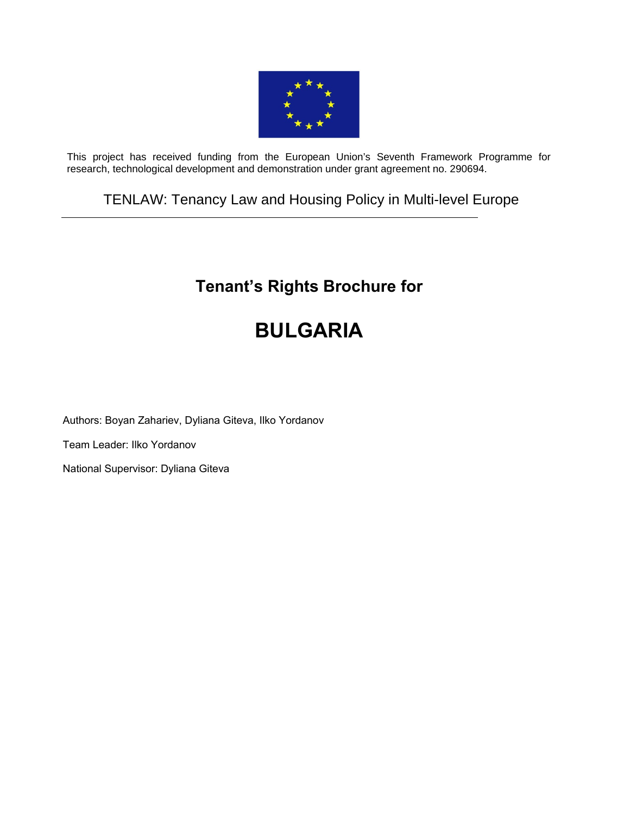

This project has received funding from the European Union's Seventh Framework Programme for research, technological development and demonstration under grant agreement no. 290694.

# TENLAW: Tenancy Law and Housing Policy in Multi-level Europe

# **Tenant's Rights Brochure for**

# **BULGARIA**

Authors: Boyan Zahariev, Dyliana Giteva, Ilko Yordanov

Team Leader: Ilko Yordanov

National Supervisor: Dyliana Giteva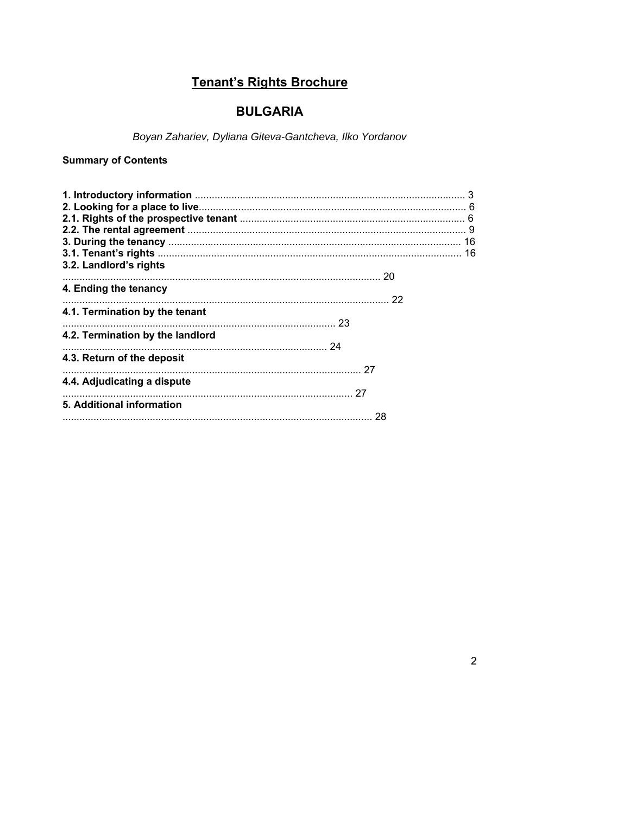# Tenant's Rights Brochure

## **BULGARIA**

Boyan Zahariev, Dyliana Giteva-Gantcheva, Ilko Yordanov

## **Summary of Contents**

| 3.2. Landlord's rights           |  |
|----------------------------------|--|
|                                  |  |
| 4. Ending the tenancy            |  |
|                                  |  |
| 4.1. Termination by the tenant   |  |
|                                  |  |
| 4.2. Termination by the landlord |  |
|                                  |  |
| 4.3. Return of the deposit       |  |
|                                  |  |
| 4.4. Adjudicating a dispute      |  |
|                                  |  |
| 5. Additional information        |  |
|                                  |  |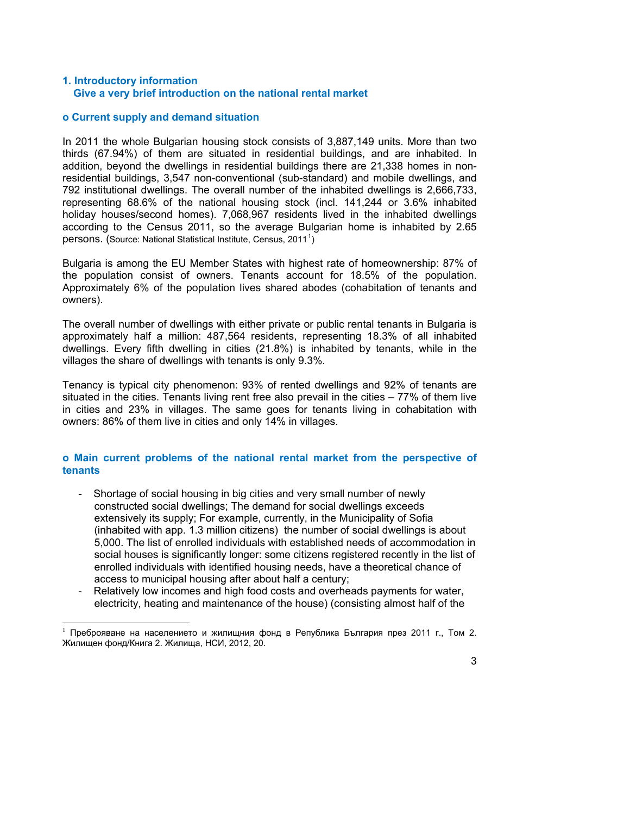#### **1. Introductory information Give a very brief introduction on the national rental market**

#### **o Current supply and demand situation**

In 2011 the whole Bulgarian housing stock consists of 3,887,149 units. More than two thirds (67.94%) of them are situated in residential buildings, and are inhabited. In addition, beyond the dwellings in residential buildings there are 21,338 homes in nonresidential buildings, 3,547 non-conventional (sub-standard) and mobile dwellings, and 792 institutional dwellings. The overall number of the inhabited dwellings is 2,666,733, representing 68.6% of the national housing stock (incl. 141,244 or 3.6% inhabited holiday houses/second homes). 7,068,967 residents lived in the inhabited dwellings according to the Census 2011, so the average Bulgarian home is inhabited by 2.65 persons. (Source: National Statistical Institute, Census, 20[1](#page-2-0)1<sup>1</sup>)

Bulgaria is among the EU Member States with highest rate of homeownership: 87% of the population consist of owners. Tenants account for 18.5% of the population. Approximately 6% of the population lives shared abodes (cohabitation of tenants and owners).

The overall number of dwellings with either private or public rental tenants in Bulgaria is approximately half a million: 487,564 residents, representing 18.3% of all inhabited dwellings. Every fifth dwelling in cities (21.8%) is inhabited by tenants, while in the villages the share of dwellings with tenants is only 9.3%.

Tenancy is typical city phenomenon: 93% of rented dwellings and 92% of tenants are situated in the cities. Tenants living rent free also prevail in the cities – 77% of them live in cities and 23% in villages. The same goes for tenants living in cohabitation with owners: 86% of them live in cities and only 14% in villages.

#### **o Main current problems of the national rental market from the perspective of tenants**

- Shortage of social housing in big cities and very small number of newly constructed social dwellings; The demand for social dwellings exceeds extensively its supply; For example, currently, in the Municipality of Sofia (inhabited with app. 1.3 million citizens) the number of social dwellings is about 5,000. The list of enrolled individuals with established needs of accommodation in social houses is significantly longer: some citizens registered recently in the list of enrolled individuals with identified housing needs, have a theoretical chance of access to municipal housing after about half a century;
- Relatively low incomes and high food costs and overheads payments for water, electricity, heating and maintenance of the house) (consisting almost half of the

<span id="page-2-0"></span><sup>1</sup> Преброяване на населението и жилищния фонд в Република България през 2011 г., Том 2. Жилищен фонд/Книга 2. Жилища, НСИ, 2012, 20.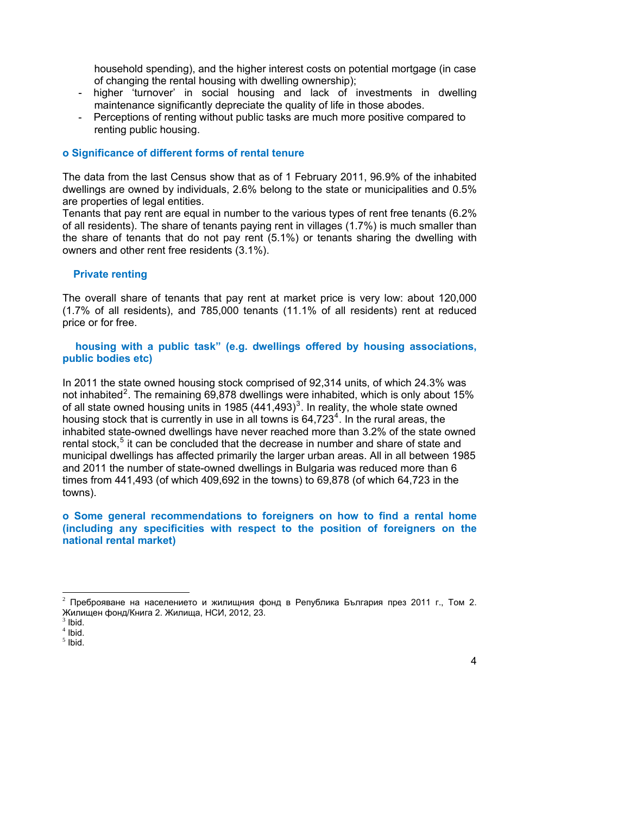household spending), and the higher interest costs on potential mortgage (in case of changing the rental housing with dwelling ownership);

- higher 'turnover' in social housing and lack of investments in dwelling maintenance significantly depreciate the quality of life in those abodes.
- Perceptions of renting without public tasks are much more positive compared to renting public housing.

#### **o Significance of different forms of rental tenure**

The data from the last Census show that as of 1 February 2011, 96.9% of the inhabited dwellings are owned by individuals, 2.6% belong to the state or municipalities and 0.5% are properties of legal entities.

Tenants that pay rent are equal in number to the various types of rent free tenants (6.2% of all residents). The share of tenants paying rent in villages (1.7%) is much smaller than the share of tenants that do not pay rent (5.1%) or tenants sharing the dwelling with owners and other rent free residents (3.1%).

#### **Private renting**

The overall share of tenants that pay rent at market price is very low: about 120,000 (1.7% of all residents), and 785,000 tenants (11.1% of all residents) rent at reduced price or for free.

 **housing with a public task" (e.g. dwellings offered by housing associations, public bodies etc)** 

In 2011 the state owned housing stock comprised of 92,314 units, of which 24.3% was not inhabited<sup>[2](#page-3-0)</sup>. The remaining 69,878 dwellings were inhabited, which is only about 15% of all state owned housing units in 1985 (441, 49[3](#page-3-1))<sup>3</sup>. In reality, the whole state owned housing stock that is currently in use in all towns is  $64,723^4$  $64,723^4$  $64,723^4$ . In the rural areas, the inhabited state-owned dwellings have never reached more than 3.2% of the state owned rental stock,<sup>[5](#page-3-3)</sup> it can be concluded that the decrease in number and share of state and municipal dwellings has affected primarily the larger urban areas. All in all between 1985 and 2011 the number of state-owned dwellings in Bulgaria was reduced more than 6 times from 441,493 (of which 409,692 in the towns) to 69,878 (of which 64,723 in the towns).

**o Some general recommendations to foreigners on how to find a rental home (including any specificities with respect to the position of foreigners on the national rental market)** 

<sup>&</sup>lt;sup>2</sup> Преброяване на населението и жилищния фонд в Република България през 2011 г., Том 2. Жилищен фонд/Книга 2. Жилища, НСИ, 2012, 23.

 $3$  Ibid.

 $<sup>4</sup>$  Ibid.</sup>

<span id="page-3-3"></span><span id="page-3-2"></span><span id="page-3-1"></span><span id="page-3-0"></span> $<sup>5</sup>$  Ibid.</sup>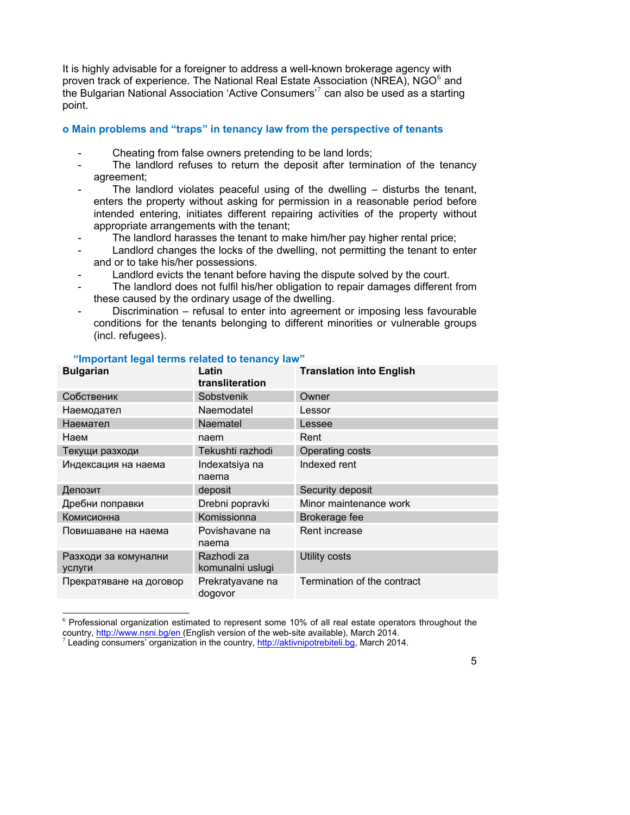It is highly advisable for a foreigner to address a well-known brokerage agency with proven track of experience. The National Real Estate Association (NREA), NGO<sup>[6](#page-4-0)</sup> and the Bulgarian National Association 'Active Consumers'<sup>[7](#page-4-1)</sup> can also be used as a starting point.

#### **o Main problems and "traps" in tenancy law from the perspective of tenants**

- Cheating from false owners pretending to be land lords;
- The landlord refuses to return the deposit after termination of the tenancy agreement;
- The landlord violates peaceful using of the dwelling  $-$  disturbs the tenant, enters the property without asking for permission in a reasonable period before intended entering, initiates different repairing activities of the property without appropriate arrangements with the tenant;
- The landlord harasses the tenant to make him/her pay higher rental price;
- Landlord changes the locks of the dwelling, not permitting the tenant to enter and or to take his/her possessions.
- Landlord evicts the tenant before having the dispute solved by the court.
- The landlord does not fulfil his/her obligation to repair damages different from these caused by the ordinary usage of the dwelling.
- Discrimination refusal to enter into agreement or imposing less favourable conditions for the tenants belonging to different minorities or vulnerable groups (incl. refugees).

| <b>Bulgarian</b>                      | Latin<br>transliteration       | <b>Translation into English</b> |
|---------------------------------------|--------------------------------|---------------------------------|
| Собственик                            | Sobstvenik                     | Owner                           |
| Наемодател                            | Naemodatel                     | Lessor                          |
| Наемател                              | <b>Naematel</b>                | Lessee                          |
| Наем                                  | naem                           | Rent                            |
| Текущи разходи                        | Tekushti razhodi               | Operating costs                 |
| Индексация на наема                   | Indexatsiya na<br>naema        | Indexed rent                    |
| Депозит                               | deposit                        | Security deposit                |
| Дребни поправки                       | Drebni popravki                | Minor maintenance work          |
| Комисионна                            | Komissionna                    | Brokerage fee                   |
| Повишаване на наема                   | Povishavane na<br>naema        | Rent increase                   |
| Разходи за комунални<br><b>УСЛУГИ</b> | Razhodi za<br>komunalni uslugi | <b>Utility costs</b>            |
| Прекратяване на договор               | Prekratyavane na<br>dogovor    | Termination of the contract     |

#### **"Important legal terms related to tenancy law"**

<sup>&</sup>lt;sup>6</sup> Professional organization estimated to represent some 10% of all real estate operators throughout the country, <http://www.nsni.bg/en> (English version of the web-site available), March 2014.

<span id="page-4-1"></span><span id="page-4-0"></span>Leading consumers' organization in the country, [http://aktivnipotrebiteli.bg,](http://aktivnipotrebiteli.bg/) March 2014.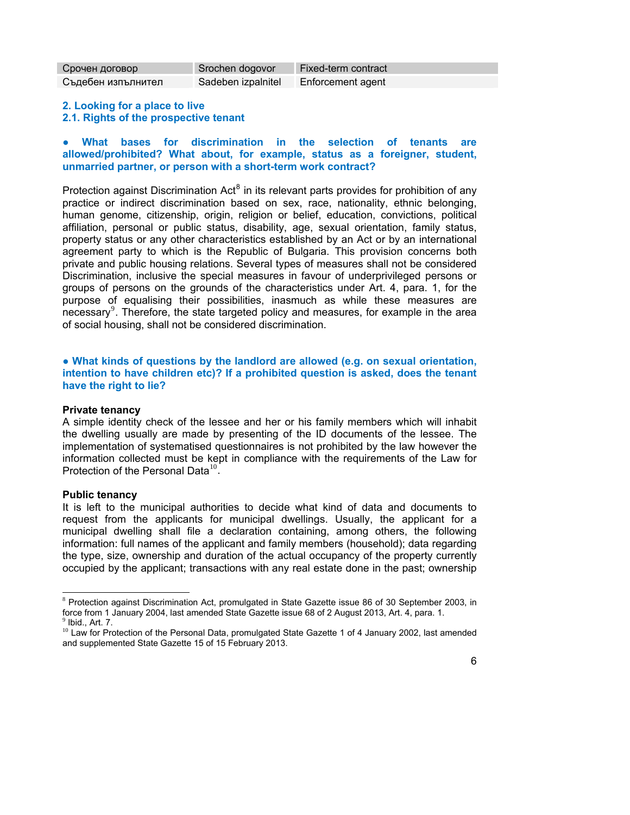| Срочен договор     | Srochen dogovor    | Fixed-term contract |
|--------------------|--------------------|---------------------|
| Съдебен изпълнител | Sadeben izpalnitel | Enforcement agent   |

#### **2. Looking for a place to live 2.1. Rights of the prospective tenant**

#### **● What bases for discrimination in the selection of tenants are allowed/prohibited? What about, for example, status as a foreigner, student, unmarried partner, or person with a short-term work contract?**

Protection against Discrimination Act<sup>[8](#page-5-0)</sup> in its relevant parts provides for prohibition of any practice or indirect discrimination based on sex, race, nationality, ethnic belonging, human genome, citizenship, origin, religion or belief, education, convictions, political affiliation, personal or public status, disability, age, sexual orientation, family status, property status or any other characteristics established by an Act or by an international agreement party to which is the Republic of Bulgaria. This provision concerns both private and public housing relations. Several types of measures shall not be considered Discrimination, inclusive the special measures in favour of underprivileged persons or groups of persons on the grounds of the characteristics under Art. 4, para. 1, for the purpose of equalising their possibilities, inasmuch as while these measures are necessary<sup>[9](#page-5-1)</sup>. Therefore, the state targeted policy and measures, for example in the area of social housing, shall not be considered discrimination.

#### **● What kinds of questions by the landlord are allowed (e.g. on sexual orientation, intention to have children etc)? If a prohibited question is asked, does the tenant have the right to lie?**

#### **Private tenancy**

A simple identity check of the lessee and her or his family members which will inhabit the dwelling usually are made by presenting of the ID documents of the lessee. The implementation of systematised questionnaires is not prohibited by the law however the information collected must be kept in compliance with the requirements of the Law for Protection of the Personal Data $^{10}$  $^{10}$  $^{10}$ .

#### **Public tenancy**

It is left to the municipal authorities to decide what kind of data and documents to request from the applicants for municipal dwellings. Usually, the applicant for a municipal dwelling shall file a declaration containing, among others, the following information: full names of the applicant and family members (household); data regarding the type, size, ownership and duration of the actual occupancy of the property currently occupied by the applicant; transactions with any real estate done in the past; ownership

<sup>&</sup>lt;sup>8</sup> Protection against Discrimination Act, promulgated in State Gazette issue [86](http://pravo5.ciela.net/Dispatcher.aspx?Destination=Document&Method=OpenEdition&DocId=2135472388&Category=normi&Edition=0&lang=bg-BG) of 30 September 2003, in force from 1 January 2004, last amended State Gazette issue 68 of 2 August 2013, Art. 4, para. 1.

 $<sup>9</sup>$  Ibid., Art. 7.</sup>

<span id="page-5-2"></span><span id="page-5-1"></span><span id="page-5-0"></span><sup>&</sup>lt;sup>10</sup> Law for Protection of the Personal Data, promulgated State Gazette 1 of 4 January 2002, last amended and supplemented State Gazette 15 of 15 February 2013.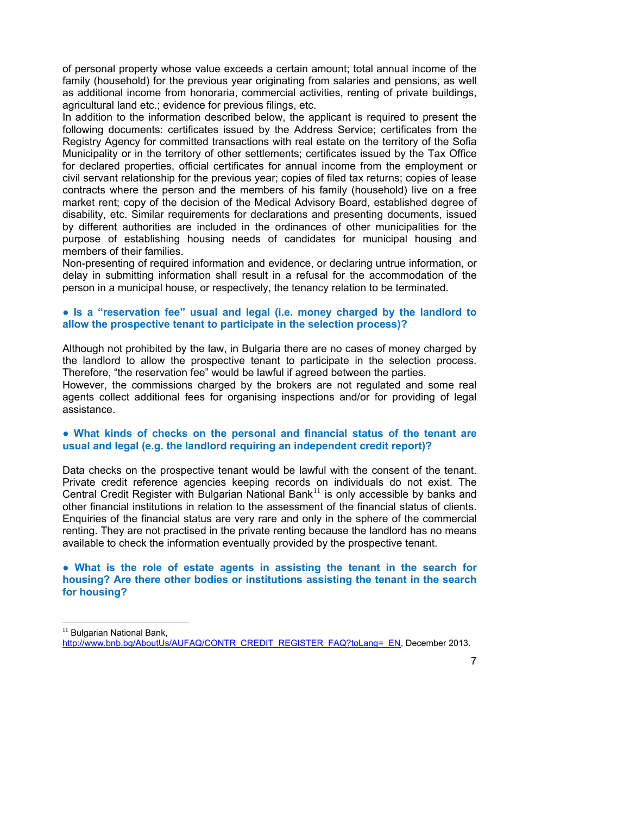of personal property whose value exceeds a certain amount; total annual income of the family (household) for the previous year originating from salaries and pensions, as well as additional income from honoraria, commercial activities, renting of private buildings, agricultural land etc.; evidence for previous filings, etc.

In addition to the information described below, the applicant is required to present the following documents: certificates issued by the Address Service; certificates from the Registry Agency for committed transactions with real estate on the territory of the Sofia Municipality or in the territory of other settlements; certificates issued by the Tax Office for declared properties, official certificates for annual income from the employment or civil servant relationship for the previous year; copies of filed tax returns; copies of lease contracts where the person and the members of his family (household) live on a free market rent; copy of the decision of the Medical Advisory Board, established degree of disability, etc. Similar requirements for declarations and presenting documents, issued by different authorities are included in the ordinances of other municipalities for the purpose of establishing housing needs of candidates for municipal housing and members of their families.

Non-presenting of required information and evidence, or declaring untrue information, or delay in submitting information shall result in a refusal for the accommodation of the person in a municipal house, or respectively, the tenancy relation to be terminated.

#### **● Is a "reservation fee" usual and legal (i.e. money charged by the landlord to allow the prospective tenant to participate in the selection process)?**

Although not prohibited by the law, in Bulgaria there are no cases of money charged by the landlord to allow the prospective tenant to participate in the selection process. Therefore, "the reservation fee" would be lawful if agreed between the parties. However, the commissions charged by the brokers are not regulated and some real agents collect additional fees for organising inspections and/or for providing of legal assistance.

#### **● What kinds of checks on the personal and financial status of the tenant are usual and legal (e.g. the landlord requiring an independent credit report)?**

Data checks on the prospective tenant would be lawful with the consent of the tenant. Private credit reference agencies keeping records on individuals do not exist. The Central Credit Register with Bulgarian National Bank<sup>[11](#page-6-0)</sup> is only accessible by banks and other financial institutions in relation to the assessment of the financial status of clients. Enquiries of the financial status are very rare and only in the sphere of the commercial renting. They are not practised in the private renting because the landlord has no means available to check the information eventually provided by the prospective tenant.

#### **● What is the role of estate agents in assisting the tenant in the search for housing? Are there other bodies or institutions assisting the tenant in the search for housing?**

<span id="page-6-0"></span><sup>&</sup>lt;sup>11</sup> Bulgarian National Bank, [http://www.bnb.bg/AboutUs/AUFAQ/CONTR\\_CREDIT\\_REGISTER\\_FAQ?toLang=\\_EN](http://www.bnb.bg/AboutUs/AUFAQ/CONTR_CREDIT_REGISTER_FAQ?toLang=_EN), December 2013.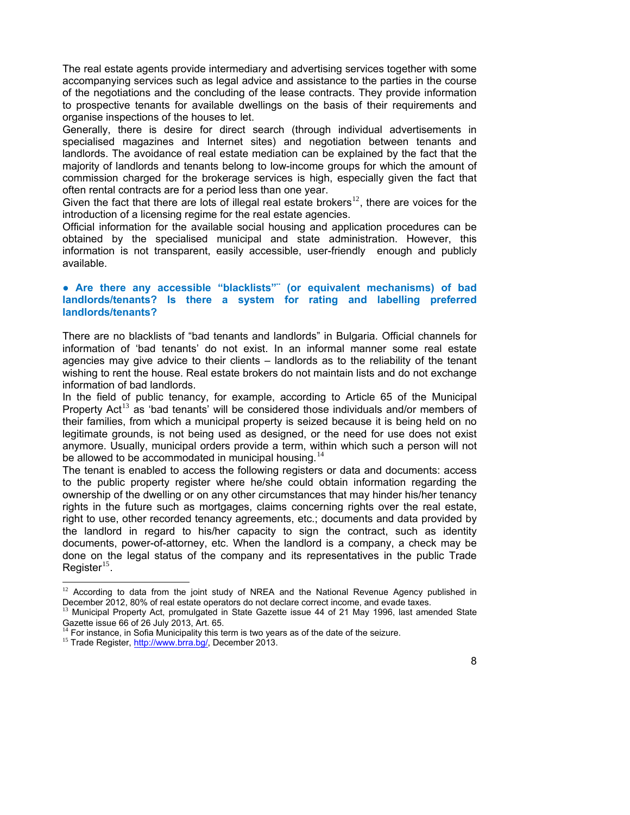The real estate agents provide intermediary and advertising services together with some accompanying services such as legal advice and assistance to the parties in the course of the negotiations and the concluding of the lease contracts. They provide information to prospective tenants for available dwellings on the basis of their requirements and organise inspections of the houses to let.

Generally, there is desire for direct search (through individual advertisements in specialised magazines and Internet sites) and negotiation between tenants and landlords. The avoidance of real estate mediation can be explained by the fact that the majority of landlords and tenants belong to low-income groups for which the amount of commission charged for the brokerage services is high, especially given the fact that often rental contracts are for a period less than one year.

Given the fact that there are lots of illegal real estate brokers<sup>[12](#page-7-0)</sup>, there are voices for the introduction of a licensing regime for the real estate agencies.

Official information for the available social housing and application procedures can be obtained by the specialised municipal and state administration. However, this information is not transparent, easily accessible, user-friendly enough and publicly available.

#### **● Are there any accessible "blacklists"¨ (or equivalent mechanisms) of bad landlords/tenants? Is there a system for rating and labelling preferred landlords/tenants?**

There are no blacklists of "bad tenants and landlords" in Bulgaria. Official channels for information of 'bad tenants' do not exist. In an informal manner some real estate agencies may give advice to their clients – landlords as to the reliability of the tenant wishing to rent the house. Real estate brokers do not maintain lists and do not exchange information of bad landlords.

In the field of public tenancy, for example, according to Article 65 of the Municipal Property Act<sup>[13](#page-7-1)</sup> as 'bad tenants' will be considered those individuals and/or members of their families, from which a municipal property is seized because it is being held on no legitimate grounds, is not being used as designed, or the need for use does not exist anymore. Usually, municipal orders provide a term, within which such a person will not be allowed to be accommodated in municipal housing.<sup>[14](#page-7-2)</sup>

The tenant is enabled to access the following registers or data and documents: access to the public property register where he/she could obtain information regarding the ownership of the dwelling or on any other circumstances that may hinder his/her tenancy rights in the future such as mortgages, claims concerning rights over the real estate, right to use, other recorded tenancy agreements, etc.; documents and data provided by the landlord in regard to his/her capacity to sign the contract, such as identity documents, power-of-attorney, etc. When the landlord is a company, a check may be done on the legal status of the company and its representatives in the public Trade Register $^{15}$  $^{15}$  $^{15}$ .

<sup>&</sup>lt;sup>12</sup> According to data from the joint study of NREA and the National Revenue Agency published in December 2012, 80% of real estate operators do not declare correct income, and evade taxes.

<sup>13</sup> Municipal Property Act, promulgated in State Gazette issue 44 of 21 May 1996, last amended State Gazette issue 66 of 26 July 2013, Art. 65.

 $14$  For instance, in Sofia Municipality this term is two years as of the date of the seizure.

<span id="page-7-3"></span><span id="page-7-2"></span><span id="page-7-1"></span><span id="page-7-0"></span><sup>&</sup>lt;sup>15</sup> Trade Register,<http://www.brra.bg/>, December 2013.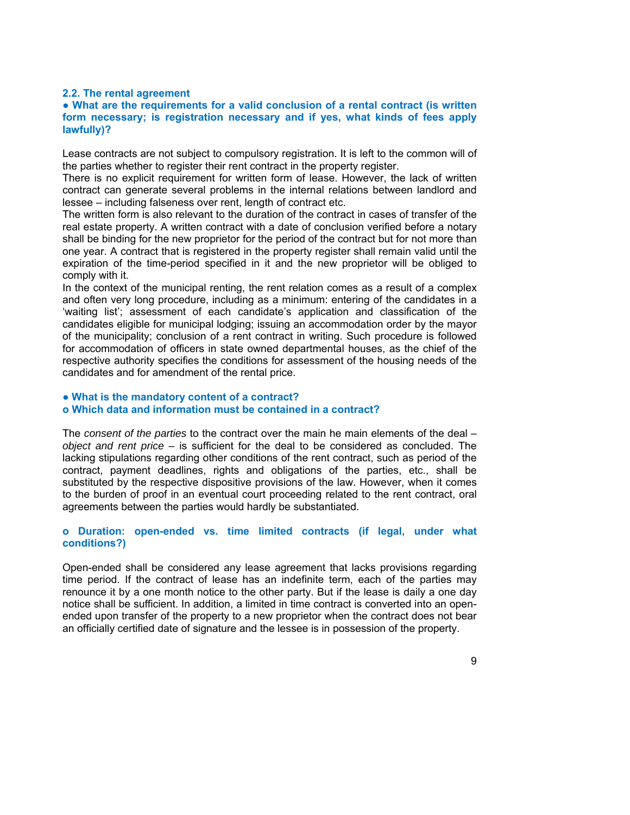#### **2.2. The rental agreement**

#### **● What are the requirements for a valid conclusion of a rental contract (is written form necessary; is registration necessary and if yes, what kinds of fees apply lawfully)?**

Lease contracts are not subject to compulsory registration. It is left to the common will of the parties whether to register their rent contract in the property register.

There is no explicit requirement for written form of lease. However, the lack of written contract can generate several problems in the internal relations between landlord and lessee – including falseness over rent, length of contract etc.

The written form is also relevant to the duration of the contract in cases of transfer of the real estate property. A written contract with a date of conclusion verified before a notary shall be binding for the new proprietor for the period of the contract but for not more than one year. A contract that is registered in the property register shall remain valid until the expiration of the time-period specified in it and the new proprietor will be obliged to comply with it.

In the context of the municipal renting, the rent relation comes as a result of a complex and often very long procedure, including as a minimum: entering of the candidates in a 'waiting list'; assessment of each candidate's application and classification of the candidates eligible for municipal lodging; issuing an accommodation order by the mayor of the municipality; conclusion of a rent contract in writing. Such procedure is followed for accommodation of officers in state owned departmental houses, as the chief of the respective authority specifies the conditions for assessment of the housing needs of the candidates and for amendment of the rental price.

#### **● What is the mandatory content of a contract?**

#### **o Which data and information must be contained in a contract?**

The *consent of the parties* to the contract over the main he main elements of the deal – *object and rent price* – is sufficient for the deal to be considered as concluded. The lacking stipulations regarding other conditions of the rent contract, such as period of the contract, payment deadlines, rights and obligations of the parties, etc., shall be substituted by the respective dispositive provisions of the law. However, when it comes to the burden of proof in an eventual court proceeding related to the rent contract, oral agreements between the parties would hardly be substantiated.

#### **o Duration: open-ended vs. time limited contracts (if legal, under what conditions?)**

Open-ended shall be considered any lease agreement that lacks provisions regarding time period. If the contract of lease has an indefinite term, each of the parties may renounce it by a one month notice to the other party. But if the lease is daily a one day notice shall be sufficient. In addition, a limited in time contract is converted into an openended upon transfer of the property to a new proprietor when the contract does not bear an officially certified date of signature and the lessee is in possession of the property.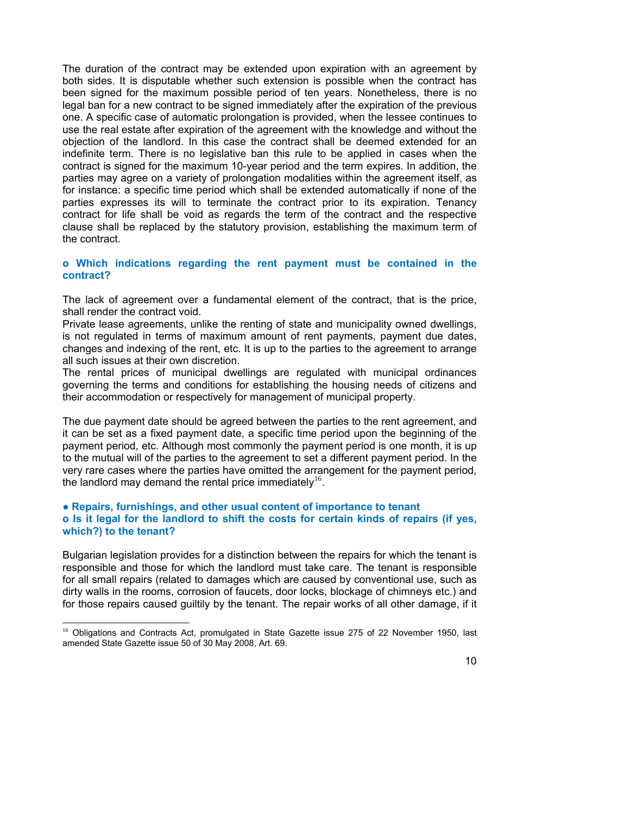The duration of the contract may be extended upon expiration with an agreement by both sides. It is disputable whether such extension is possible when the contract has been signed for the maximum possible period of ten years. Nonetheless, there is no legal ban for a new contract to be signed immediately after the expiration of the previous one. A specific case of automatic prolongation is provided, when the lessee continues to use the real estate after expiration of the agreement with the knowledge and without the objection of the landlord. In this case the contract shall be deemed extended for an indefinite term. There is no legislative ban this rule to be applied in cases when the contract is signed for the maximum 10-year period and the term expires. In addition, the parties may agree on a variety of prolongation modalities within the agreement itself, as for instance: a specific time period which shall be extended automatically if none of the parties expresses its will to terminate the contract prior to its expiration. Tenancy contract for life shall be void as regards the term of the contract and the respective clause shall be replaced by the statutory provision, establishing the maximum term of the contract.

#### **o Which indications regarding the rent payment must be contained in the contract?**

The lack of agreement over a fundamental element of the contract, that is the price, shall render the contract void.

Private lease agreements, unlike the renting of state and municipality owned dwellings, is not regulated in terms of maximum amount of rent payments, payment due dates, changes and indexing of the rent, etc. It is up to the parties to the agreement to arrange all such issues at their own discretion.

The rental prices of municipal dwellings are regulated with municipal ordinances governing the terms and conditions for establishing the housing needs of citizens and their accommodation or respectively for management of municipal property.

The due payment date should be agreed between the parties to the rent agreement, and it can be set as a fixed payment date, a specific time period upon the beginning of the payment period, etc. Although most commonly the payment period is one month, it is up to the mutual will of the parties to the agreement to set a different payment period. In the very rare cases where the parties have omitted the arrangement for the payment period, the landlord may demand the rental price immediately<sup>[16](#page-9-0)</sup>.

#### **● Repairs, furnishings, and other usual content of importance to tenant o Is it legal for the landlord to shift the costs for certain kinds of repairs (if yes, which?) to the tenant?**

Bulgarian legislation provides for a distinction between the repairs for which the tenant is responsible and those for which the landlord must take care. The tenant is responsible for all small repairs (related to damages which are caused by conventional use, such as dirty walls in the rooms, corrosion of faucets, door locks, blockage of chimneys etc.) and for those repairs caused guiltily by the tenant. The repair works of all other damage, if it

<span id="page-9-0"></span><sup>&</sup>lt;sup>16</sup> Obligations and Contracts Act, promulgated in State Gazette issue 275 of 22 November 1950, last amended State Gazette issue 50 of 30 May 2008, Art. 69.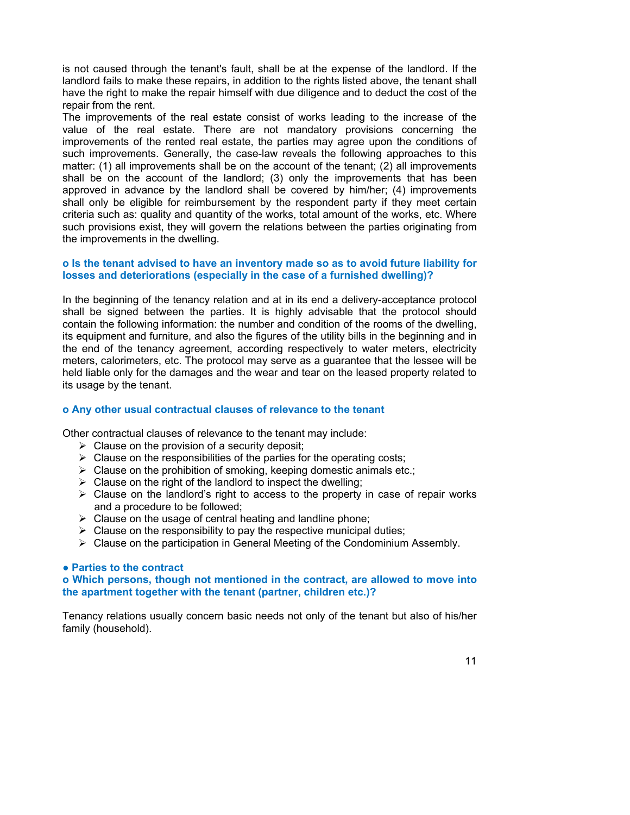is not caused through the tenant's fault, shall be at the expense of the landlord. If the landlord fails to make these repairs, in addition to the rights listed above, the tenant shall have the right to make the repair himself with due diligence and to deduct the cost of the repair from the rent.

The improvements of the real estate consist of works leading to the increase of the value of the real estate. There are not mandatory provisions concerning the improvements of the rented real estate, the parties may agree upon the conditions of such improvements. Generally, the case-law reveals the following approaches to this matter: (1) all improvements shall be on the account of the tenant; (2) all improvements shall be on the account of the landlord; (3) only the improvements that has been approved in advance by the landlord shall be covered by him/her; (4) improvements shall only be eligible for reimbursement by the respondent party if they meet certain criteria such as: quality and quantity of the works, total amount of the works, etc. Where such provisions exist, they will govern the relations between the parties originating from the improvements in the dwelling.

#### **o Is the tenant advised to have an inventory made so as to avoid future liability for losses and deteriorations (especially in the case of a furnished dwelling)?**

In the beginning of the tenancy relation and at in its end a delivery-acceptance protocol shall be signed between the parties. It is highly advisable that the protocol should contain the following information: the number and condition of the rooms of the dwelling, its equipment and furniture, and also the figures of the utility bills in the beginning and in the end of the tenancy agreement, according respectively to water meters, electricity meters, calorimeters, etc. The protocol may serve as a guarantee that the lessee will be held liable only for the damages and the wear and tear on the leased property related to its usage by the tenant.

#### **o Any other usual contractual clauses of relevance to the tenant**

Other contractual clauses of relevance to the tenant may include:

- $\triangleright$  Clause on the provision of a security deposit;
- $\triangleright$  Clause on the responsibilities of the parties for the operating costs;
- $\triangleright$  Clause on the prohibition of smoking, keeping domestic animals etc.;
- $\triangleright$  Clause on the right of the landlord to inspect the dwelling;
- $\triangleright$  Clause on the landlord's right to access to the property in case of repair works and a procedure to be followed;
- $\triangleright$  Clause on the usage of central heating and landline phone;
- $\triangleright$  Clause on the responsibility to pay the respective municipal duties;
- $\triangleright$  Clause on the participation in General Meeting of the Condominium Assembly.

#### **● Parties to the contract**

#### **o Which persons, though not mentioned in the contract, are allowed to move into the apartment together with the tenant (partner, children etc.)?**

Tenancy relations usually concern basic needs not only of the tenant but also of his/her family (household).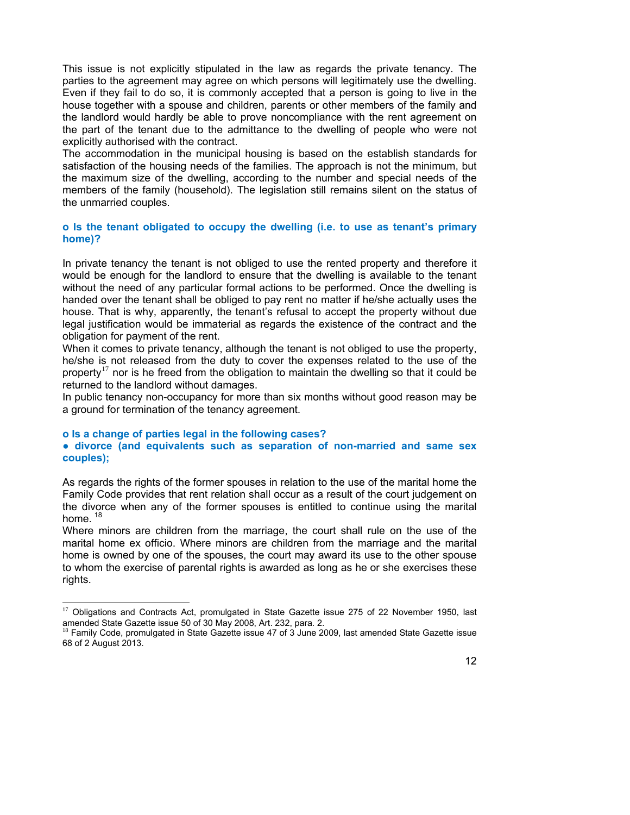This issue is not explicitly stipulated in the law as regards the private tenancy. The parties to the agreement may agree on which persons will legitimately use the dwelling. Even if they fail to do so, it is commonly accepted that a person is going to live in the house together with a spouse and children, parents or other members of the family and the landlord would hardly be able to prove noncompliance with the rent agreement on the part of the tenant due to the admittance to the dwelling of people who were not explicitly authorised with the contract.

The accommodation in the municipal housing is based on the establish standards for satisfaction of the housing needs of the families. The approach is not the minimum, but the maximum size of the dwelling, according to the number and special needs of the members of the family (household). The legislation still remains silent on the status of the unmarried couples.

#### **o Is the tenant obligated to occupy the dwelling (i.e. to use as tenant's primary home)?**

In private tenancy the tenant is not obliged to use the rented property and therefore it would be enough for the landlord to ensure that the dwelling is available to the tenant without the need of any particular formal actions to be performed. Once the dwelling is handed over the tenant shall be obliged to pay rent no matter if he/she actually uses the house. That is why, apparently, the tenant's refusal to accept the property without due legal justification would be immaterial as regards the existence of the contract and the obligation for payment of the rent.

When it comes to private tenancy, although the tenant is not obliged to use the property, he/she is not released from the duty to cover the expenses related to the use of the property<sup>[17](#page-11-0)</sup> nor is he freed from the obligation to maintain the dwelling so that it could be returned to the landlord without damages.

In public tenancy non-occupancy for more than six months without good reason may be a ground for termination of the tenancy agreement.

#### **o Is a change of parties legal in the following cases?**

#### **● divorce (and equivalents such as separation of non-married and same sex couples);**

As regards the rights of the former spouses in relation to the use of the marital home the Family Code provides that rent relation shall occur as a result of the court judgement on the divorce when any of the former spouses is entitled to continue using the marital home.  $18$ 

Where minors are children from the marriage, the court shall rule on the use of the marital home ex officio. Where minors are children from the marriage and the marital home is owned by one of the spouses, the court may award its use to the other spouse to whom the exercise of parental rights is awarded as long as he or she exercises these rights.

<sup>&</sup>lt;sup>17</sup> Obligations and Contracts Act, promulgated in State Gazette issue 275 of 22 November 1950, last amended State Gazette issue 50 of 30 May 2008, Art. 232, para. 2.

<span id="page-11-1"></span><span id="page-11-0"></span><sup>&</sup>lt;sup>18</sup> Family Code, promulgated in State Gazette issue 47 of 3 June 2009, last amended State Gazette issue 68 of 2 August 2013.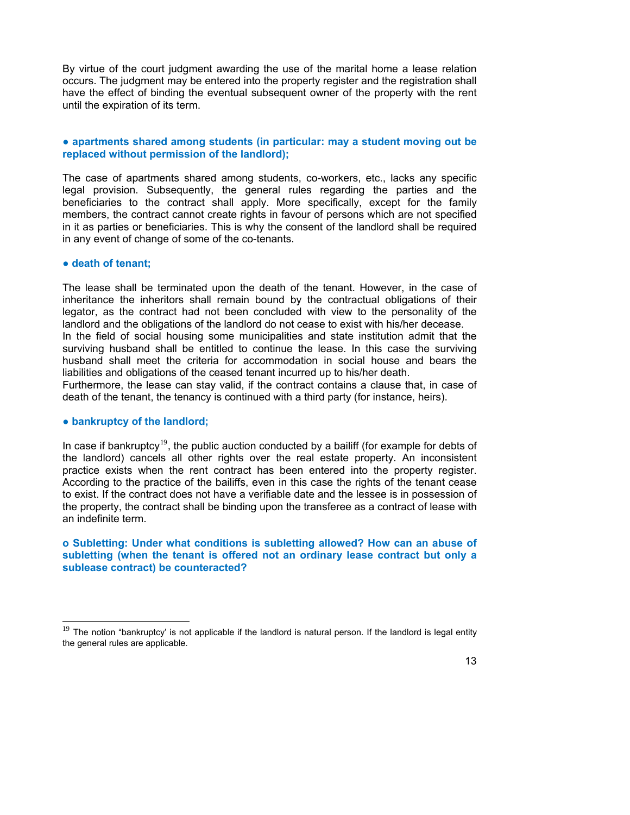By virtue of the court judgment awarding the use of the marital home a lease relation occurs. The judgment may be entered into the property register and the registration shall have the effect of binding the eventual subsequent owner of the property with the rent until the expiration of its term.

#### **● apartments shared among students (in particular: may a student moving out be replaced without permission of the landlord);**

The case of apartments shared among students, co-workers, etc., lacks any specific legal provision. Subsequently, the general rules regarding the parties and the beneficiaries to the contract shall apply. More specifically, except for the family members, the contract cannot create rights in favour of persons which are not specified in it as parties or beneficiaries. This is why the consent of the landlord shall be required in any event of change of some of the co-tenants.

#### **● death of tenant;**

The lease shall be terminated upon the death of the tenant. However, in the case of inheritance the inheritors shall remain bound by the contractual obligations of their legator, as the contract had not been concluded with view to the personality of the landlord and the obligations of the landlord do not cease to exist with his/her decease.

In the field of social housing some municipalities and state institution admit that the surviving husband shall be entitled to continue the lease. In this case the surviving husband shall meet the criteria for accommodation in social house and bears the liabilities and obligations of the ceased tenant incurred up to his/her death.

Furthermore, the lease can stay valid, if the contract contains a clause that, in case of death of the tenant, the tenancy is continued with a third party (for instance, heirs).

#### **● bankruptcy of the landlord;**

In case if bankruptcy<sup>[19](#page-12-0)</sup>, the public auction conducted by a bailiff (for example for debts of the landlord) cancels all other rights over the real estate property. An inconsistent practice exists when the rent contract has been entered into the property register. According to the practice of the bailiffs, even in this case the rights of the tenant cease to exist. If the contract does not have a verifiable date and the lessee is in possession of the property, the contract shall be binding upon the transferee as a contract of lease with an indefinite term.

#### **o Subletting: Under what conditions is subletting allowed? How can an abuse of subletting (when the tenant is offered not an ordinary lease contract but only a sublease contract) be counteracted?**

<span id="page-12-0"></span> $19$  The notion "bankruptcy' is not applicable if the landlord is natural person. If the landlord is legal entity the general rules are applicable.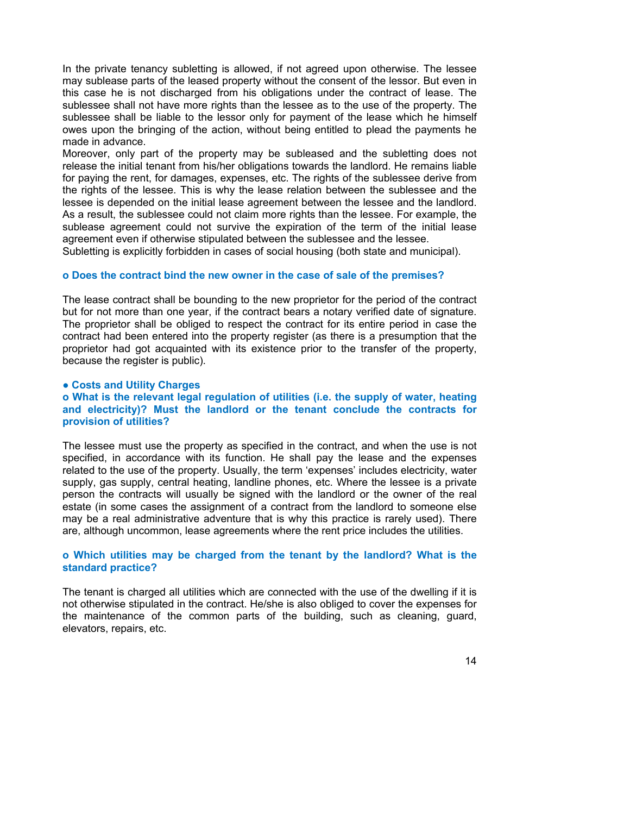In the private tenancy subletting is allowed, if not agreed upon otherwise. The lessee may sublease parts of the leased property without the consent of the lessor. But even in this case he is not discharged from his obligations under the contract of lease. The sublessee shall not have more rights than the lessee as to the use of the property. The sublessee shall be liable to the lessor only for payment of the lease which he himself owes upon the bringing of the action, without being entitled to plead the payments he made in advance.

Moreover, only part of the property may be subleased and the subletting does not release the initial tenant from his/her obligations towards the landlord. He remains liable for paying the rent, for damages, expenses, etc. The rights of the sublessee derive from the rights of the lessee. This is why the lease relation between the sublessee and the lessee is depended on the initial lease agreement between the lessee and the landlord. As a result, the sublessee could not claim more rights than the lessee. For example, the sublease agreement could not survive the expiration of the term of the initial lease agreement even if otherwise stipulated between the sublessee and the lessee.

Subletting is explicitly forbidden in cases of social housing (both state and municipal).

#### **o Does the contract bind the new owner in the case of sale of the premises?**

The lease contract shall be bounding to the new proprietor for the period of the contract but for not more than one year, if the contract bears a notary verified date of signature. The proprietor shall be obliged to respect the contract for its entire period in case the contract had been entered into the property register (as there is a presumption that the proprietor had got acquainted with its existence prior to the transfer of the property, because the register is public).

#### **● Costs and Utility Charges**

#### **o What is the relevant legal regulation of utilities (i.e. the supply of water, heating and electricity)? Must the landlord or the tenant conclude the contracts for provision of utilities?**

The lessee must use the property as specified in the contract, and when the use is not specified, in accordance with its function. He shall pay the lease and the expenses related to the use of the property. Usually, the term 'expenses' includes electricity, water supply, gas supply, central heating, landline phones, etc. Where the lessee is a private person the contracts will usually be signed with the landlord or the owner of the real estate (in some cases the assignment of a contract from the landlord to someone else may be a real administrative adventure that is why this practice is rarely used). There are, although uncommon, lease agreements where the rent price includes the utilities.

#### **o Which utilities may be charged from the tenant by the landlord? What is the standard practice?**

The tenant is charged all utilities which are connected with the use of the dwelling if it is not otherwise stipulated in the contract. He/she is also obliged to cover the expenses for the maintenance of the common parts of the building, such as cleaning, guard, elevators, repairs, etc.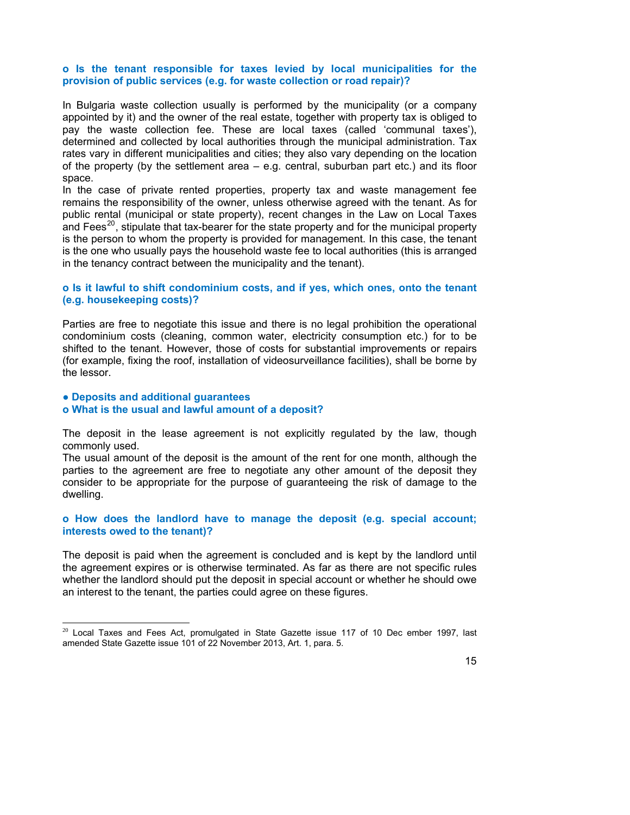#### **o Is the tenant responsible for taxes levied by local municipalities for the provision of public services (e.g. for waste collection or road repair)?**

In Bulgaria waste collection usually is performed by the municipality (or a company appointed by it) and the owner of the real estate, together with property tax is obliged to pay the waste collection fee. These are local taxes (called 'communal taxes'), determined and collected by local authorities through the municipal administration. Tax rates vary in different municipalities and cities; they also vary depending on the location of the property (by the settlement area – e.g. central, suburban part etc.) and its floor space.

In the case of private rented properties, property tax and waste management fee remains the responsibility of the owner, unless otherwise agreed with the tenant. As for public rental (municipal or state property), recent changes in the Law on Local Taxes and Fees<sup>[20](#page-14-0)</sup>, stipulate that tax-bearer for the state property and for the municipal property is the person to whom the property is provided for management. In this case, the tenant is the one who usually pays the household waste fee to local authorities (this is arranged in the tenancy contract between the municipality and the tenant).

#### **o Is it lawful to shift condominium costs, and if yes, which ones, onto the tenant (e.g. housekeeping costs)?**

Parties are free to negotiate this issue and there is no legal prohibition the operational condominium costs (cleaning, common water, electricity consumption etc.) for to be shifted to the tenant. However, those of costs for substantial improvements or repairs (for example, fixing the roof, installation of videosurveillance facilities), shall be borne by the lessor.

#### **● Deposits and additional guarantees**

#### **o What is the usual and lawful amount of a deposit?**

The deposit in the lease agreement is not explicitly regulated by the law, though commonly used.

The usual amount of the deposit is the amount of the rent for one month, although the parties to the agreement are free to negotiate any other amount of the deposit they consider to be appropriate for the purpose of guaranteeing the risk of damage to the dwelling.

#### **o How does the landlord have to manage the deposit (e.g. special account; interests owed to the tenant)?**

The deposit is paid when the agreement is concluded and is kept by the landlord until the agreement expires or is otherwise terminated. As far as there are not specific rules whether the landlord should put the deposit in special account or whether he should owe an interest to the tenant, the parties could agree on these figures.

<span id="page-14-0"></span> $20$  Local Taxes and Fees Act, promulgated in State Gazette issue 117 of 10 Dec ember 1997, last amended State Gazette issue 101 of 22 November 2013, Art. 1, para. 5.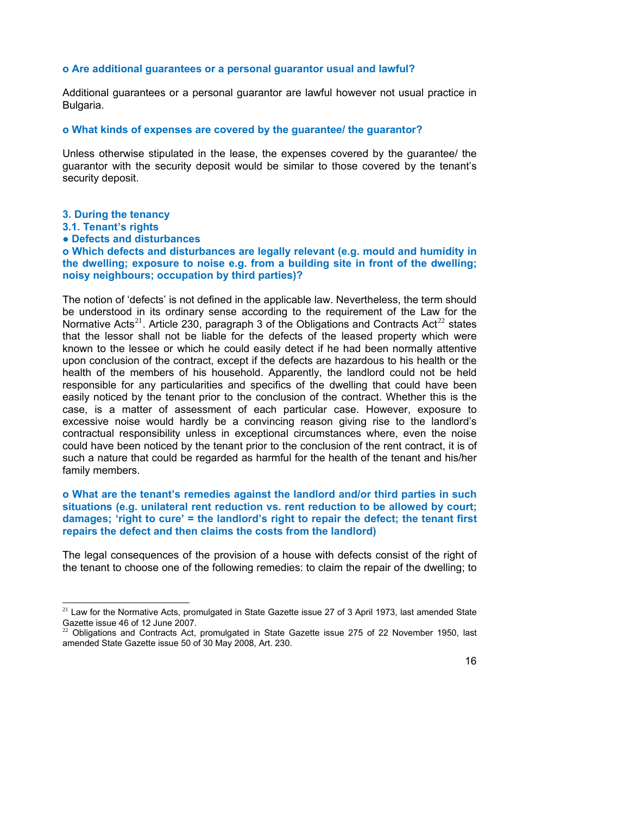#### **o Are additional guarantees or a personal guarantor usual and lawful?**

Additional guarantees or a personal guarantor are lawful however not usual practice in Bulgaria.

#### **o What kinds of expenses are covered by the guarantee/ the guarantor?**

Unless otherwise stipulated in the lease, the expenses covered by the guarantee/ the guarantor with the security deposit would be similar to those covered by the tenant's security deposit.

- **3. During the tenancy**
- **3.1. Tenant's rights**
- **● Defects and disturbances**

**o Which defects and disturbances are legally relevant (e.g. mould and humidity in the dwelling; exposure to noise e.g. from a building site in front of the dwelling; noisy neighbours; occupation by third parties)?** 

The notion of 'defects' is not defined in the applicable law. Nevertheless, the term should be understood in its ordinary sense according to the requirement of the Law for the Normative Acts<sup>[21](#page-15-0)</sup>. Article 230, paragraph 3 of the Obligations and Contracts Act<sup>[22](#page-15-1)</sup> states that the lessor shall not be liable for the defects of the leased property which were known to the lessee or which he could easily detect if he had been normally attentive upon conclusion of the contract, except if the defects are hazardous to his health or the health of the members of his household. Apparently, the landlord could not be held responsible for any particularities and specifics of the dwelling that could have been easily noticed by the tenant prior to the conclusion of the contract. Whether this is the case, is a matter of assessment of each particular case. However, exposure to excessive noise would hardly be a convincing reason giving rise to the landlord's contractual responsibility unless in exceptional circumstances where, even the noise could have been noticed by the tenant prior to the conclusion of the rent contract, it is of such a nature that could be regarded as harmful for the health of the tenant and his/her family members.

#### **o What are the tenant's remedies against the landlord and/or third parties in such situations (e.g. unilateral rent reduction vs. rent reduction to be allowed by court; damages; 'right to cure' = the landlord's right to repair the defect; the tenant first repairs the defect and then claims the costs from the landlord)**

The legal consequences of the provision of a house with defects consist of the right of the tenant to choose one of the following remedies: to claim the repair of the dwelling; to

<sup>&</sup>lt;sup>21</sup> Law for the Normative Acts, promulgated in State Gazette issue 27 of 3 April 1973, last amended State Gazette issue 46 of 12 June 2007.

<span id="page-15-1"></span><span id="page-15-0"></span> $22$  Obligations and Contracts Act, promulgated in State Gazette issue 275 of 22 November 1950, last amended State Gazette issue 50 of 30 May 2008, Art. 230.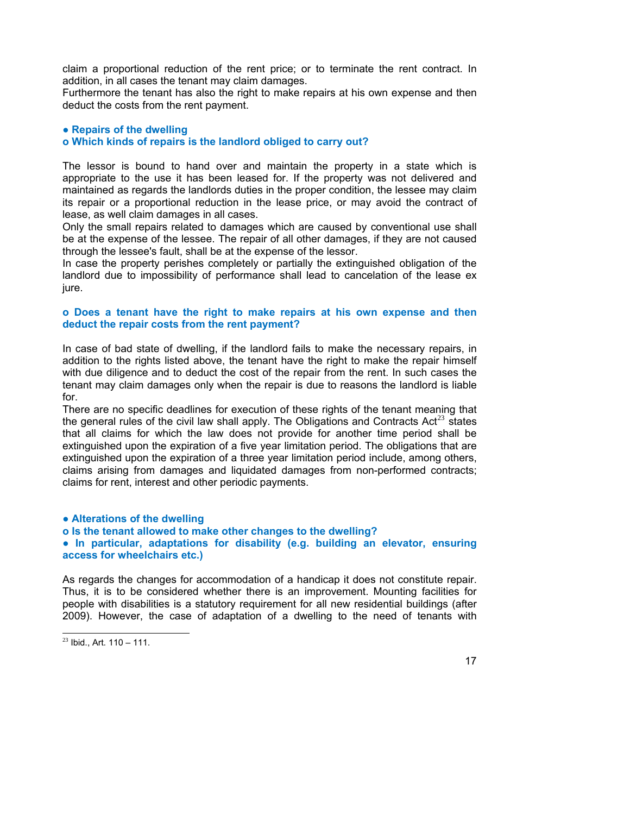claim a proportional reduction of the rent price; or to terminate the rent contract. In addition, in all cases the tenant may claim damages.

Furthermore the tenant has also the right to make repairs at his own expense and then deduct the costs from the rent payment.

#### **● Repairs of the dwelling**

#### **o Which kinds of repairs is the landlord obliged to carry out?**

The lessor is bound to hand over and maintain the property in a state which is appropriate to the use it has been leased for. If the property was not delivered and maintained as regards the landlords duties in the proper condition, the lessee may claim its repair or a proportional reduction in the lease price, or may avoid the contract of lease, as well claim damages in all cases.

Only the small repairs related to damages which are caused by conventional use shall be at the expense of the lessee. The repair of all other damages, if they are not caused through the lessee's fault, shall be at the expense of the lessor.

In case the property perishes completely or partially the extinguished obligation of the landlord due to impossibility of performance shall lead to cancelation of the lease ex jure.

#### **o Does a tenant have the right to make repairs at his own expense and then deduct the repair costs from the rent payment?**

In case of bad state of dwelling, if the landlord fails to make the necessary repairs, in addition to the rights listed above, the tenant have the right to make the repair himself with due diligence and to deduct the cost of the repair from the rent. In such cases the tenant may claim damages only when the repair is due to reasons the landlord is liable for.

There are no specific deadlines for execution of these rights of the tenant meaning that the general rules of the civil law shall apply. The Obligations and Contracts Act<sup>[23](#page-16-0)</sup> states that all claims for which the law does not provide for another time period shall be extinguished upon the expiration of a five year limitation period. The obligations that are extinguished upon the expiration of a three year limitation period include, among others, claims arising from damages and liquidated damages from non-performed contracts; claims for rent, interest and other periodic payments.

**● Alterations of the dwelling o Is the tenant allowed to make other changes to the dwelling? ● In particular, adaptations for disability (e.g. building an elevator, ensuring access for wheelchairs etc.)** 

As regards the changes for accommodation of a handicap it does not constitute repair. Thus, it is to be considered whether there is an improvement. Mounting facilities for people with disabilities is a statutory requirement for all new residential buildings (after 2009). However, the case of adaptation of a dwelling to the need of tenants with

<span id="page-16-0"></span> $23$  Ibid., Art. 110 – 111.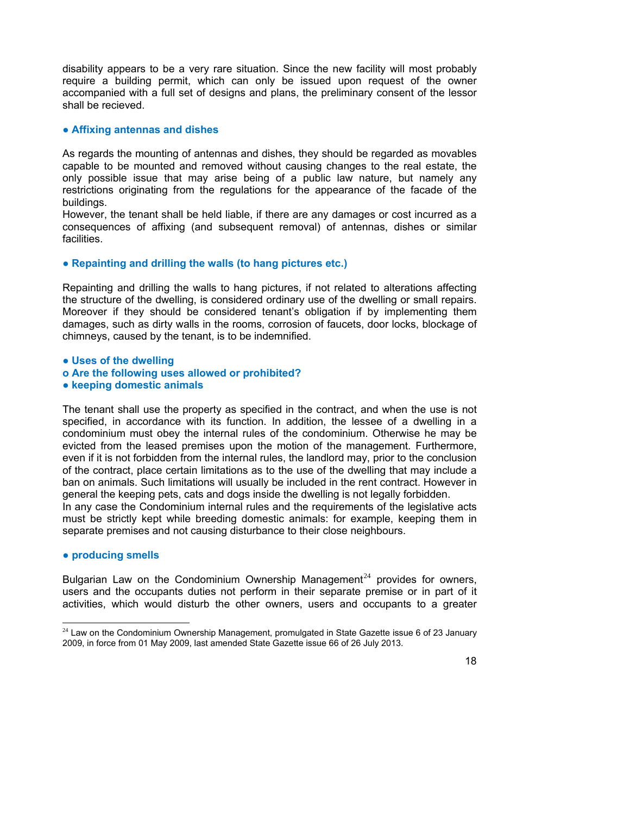disability appears to be a very rare situation. Since the new facility will most probably require a building permit, which can only be issued upon request of the owner accompanied with a full set of designs and plans, the preliminary consent of the lessor shall be recieved.

#### **● Affixing antennas and dishes**

As regards the mounting of antennas and dishes, they should be regarded as movables capable to be mounted and removed without causing changes to the real estate, the only possible issue that may arise being of a public law nature, but namely any restrictions originating from the regulations for the appearance of the facade of the buildings.

However, the tenant shall be held liable, if there are any damages or cost incurred as a consequences of affixing (and subsequent removal) of antennas, dishes or similar facilities.

#### **● Repainting and drilling the walls (to hang pictures etc.)**

Repainting and drilling the walls to hang pictures, if not related to alterations affecting the structure of the dwelling, is considered ordinary use of the dwelling or small repairs. Moreover if they should be considered tenant's obligation if by implementing them damages, such as dirty walls in the rooms, corrosion of faucets, door locks, blockage of chimneys, caused by the tenant, is to be indemnified.

**● Uses of the dwelling o Are the following uses allowed or prohibited?**

#### **● keeping domestic animals**

The tenant shall use the property as specified in the contract, and when the use is not specified, in accordance with its function. In addition, the lessee of a dwelling in a condominium must obey the internal rules of the condominium. Otherwise he may be evicted from the leased premises upon the motion of the management. Furthermore, even if it is not forbidden from the internal rules, the landlord may, prior to the conclusion of the contract, place certain limitations as to the use of the dwelling that may include a ban on animals. Such limitations will usually be included in the rent contract. However in general the keeping pets, cats and dogs inside the dwelling is not legally forbidden. In any case the Condominium internal rules and the requirements of the legislative acts must be strictly kept while breeding domestic animals: for example, keeping them in

### **● producing smells**

Bulgarian Law on the Condominium Ownership Management<sup>[24](#page-17-0)</sup> provides for owners, users and the occupants duties not perform in their separate premise or in part of it activities, which would disturb the other owners, users and occupants to a greater

separate premises and not causing disturbance to their close neighbours.

<span id="page-17-0"></span> $24$  Law on the Condominium Ownership Management, promulgated in State Gazette issue 6 of 23 January 2009, in force from 01 May 2009, last amended State Gazette issue 66 of 26 July 2013.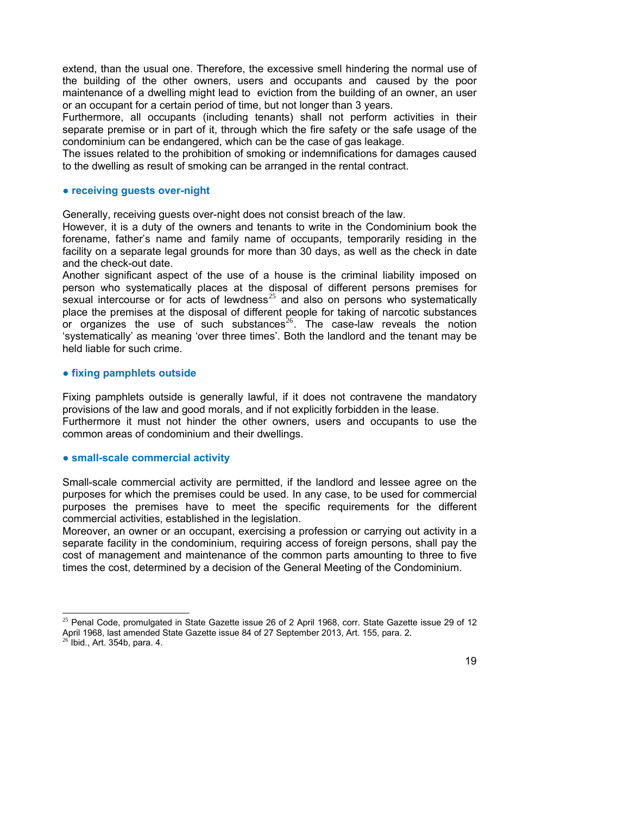extend, than the usual one. Therefore, the excessive smell hindering the normal use of the building of the other owners, users and occupants and caused by the poor maintenance of a dwelling might lead to eviction from the building of an owner, an user or an occupant for a certain period of time, but not longer than 3 years.

Furthermore, all occupants (including tenants) shall not perform activities in their separate premise or in part of it, through which the fire safety or the safe usage of the condominium can be endangered, which can be the case of gas leakage.

The issues related to the prohibition of smoking or indemnifications for damages caused to the dwelling as result of smoking can be arranged in the rental contract.

#### **● receiving guests over-night**

Generally, receiving guests over-night does not consist breach of the law.

However, it is a duty of the owners and tenants to write in the Condominium book the forename, father's name and family name of occupants, temporarily residing in the facility on a separate legal grounds for more than 30 days, as well as the check in date and the check-out date.

Another significant aspect of the use of a house is the criminal liability imposed on person who systematically places at the disposal of different persons premises for sexual intercourse or for acts of lewdness $25$  and also on persons who systematically place the premises at the disposal of different people for taking of narcotic substances or organizes the use of such substances<sup>[26](#page-18-1)</sup>. The case-law reveals the notion 'systematically' as meaning 'over three times'. Both the landlord and the tenant may be held liable for such crime.

#### **● fixing pamphlets outside**

Fixing pamphlets outside is generally lawful, if it does not contravene the mandatory provisions of the law and good morals, and if not explicitly forbidden in the lease. Furthermore it must not hinder the other owners, users and occupants to use the common areas of condominium and their dwellings.

#### **● small-scale commercial activity**

Small-scale commercial activity are permitted, if the landlord and lessee agree on the purposes for which the premises could be used. In any case, to be used for commercial purposes the premises have to meet the specific requirements for the different commercial activities, established in the legislation.

Moreover, an owner or an occupant, exercising a profession or carrying out activity in a separate facility in the condominium, requiring access of foreign persons, shall pay the cost of management and maintenance of the common parts amounting to three to five times the cost, determined by a decision of the General Meeting of the Condominium.

<span id="page-18-1"></span><span id="page-18-0"></span><sup>&</sup>lt;sup>25</sup> Penal Code, promulgated in State Gazette issue 26 of 2 April 1968, corr. State Gazette issue 29 of 12 April 1968, last amended State Gazette issue 84 of 27 September 2013, Art. 155, para. 2.  $26$  Ibid., Art. 354b, para. 4.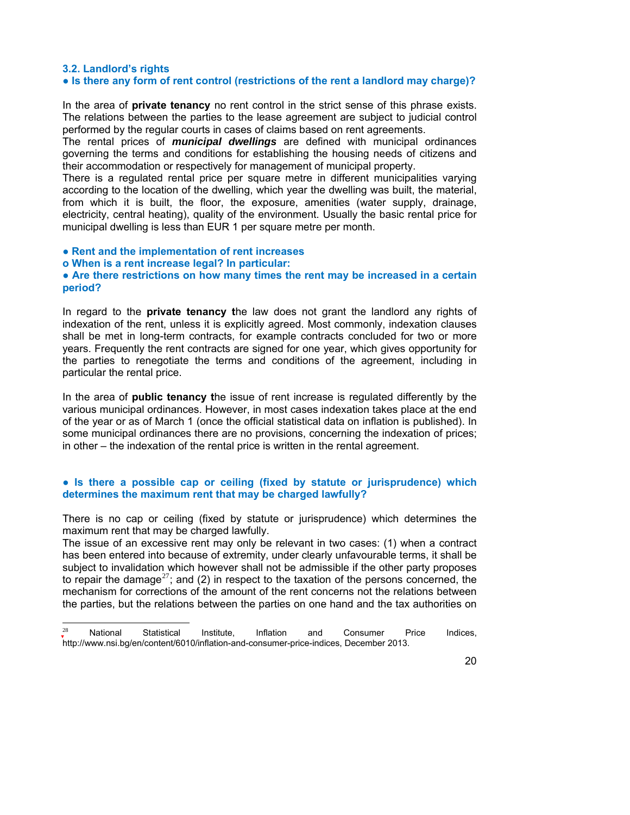#### **3.2. Landlord's rights**

#### **● Is there any form of rent control (restrictions of the rent a landlord may charge)?**

In the area of **private tenancy** no rent control in the strict sense of this phrase exists. The relations between the parties to the lease agreement are subject to judicial control performed by the regular courts in cases of claims based on rent agreements.

The rental prices of *municipal dwellings* are defined with municipal ordinances governing the terms and conditions for establishing the housing needs of citizens and their accommodation or respectively for management of municipal property.

There is a regulated rental price per square metre in different municipalities varying according to the location of the dwelling, which year the dwelling was built, the material, from which it is built, the floor, the exposure, amenities (water supply, drainage, electricity, central heating), quality of the environment. Usually the basic rental price for municipal dwelling is less than EUR 1 per square metre per month.

#### **● Rent and the implementation of rent increases**

**o When is a rent increase legal? In particular:**

#### **● Are there restrictions on how many times the rent may be increased in a certain period?**

In regard to the **private tenancy t**he law does not grant the landlord any rights of indexation of the rent, unless it is explicitly agreed. Most commonly, indexation clauses shall be met in long-term contracts, for example contracts concluded for two or more years. Frequently the rent contracts are signed for one year, which gives opportunity for the parties to renegotiate the terms and conditions of the agreement, including in particular the rental price.

In the area of **public tenancy t**he issue of rent increase is regulated differently by the various municipal ordinances. However, in most cases indexation takes place at the end of the year or as of March 1 (once the official statistical data on inflation is published). In some municipal ordinances there are no provisions, concerning the indexation of prices; in other – the indexation of the rental price is written in the rental agreement.

#### **● Is there a possible cap or ceiling (fixed by statute or jurisprudence) which determines the maximum rent that may be charged lawfully?**

There is no cap or ceiling (fixed by statute or jurisprudence) which determines the maximum rent that may be charged lawfully.

The issue of an excessive rent may only be relevant in two cases: (1) when a contract has been entered into because of extremity, under clearly unfavourable terms, it shall be subject to invalidation which however shall not be admissible if the other party proposes to repair the damage<sup>[27](#page-19-0)</sup>; and (2) in respect to the taxation of the persons concerned, the mechanism for corrections of the amount of the rent concerns not the relations between the parties, but the relations between the parties on one hand and the tax authorities on

<span id="page-19-0"></span> $2^2$  National Statistical Institute, Inflation and Consumer Price Indices, <http://www.nsi.bg/en/content/6010/inflation-and-consumer-price-indices>, December 2013.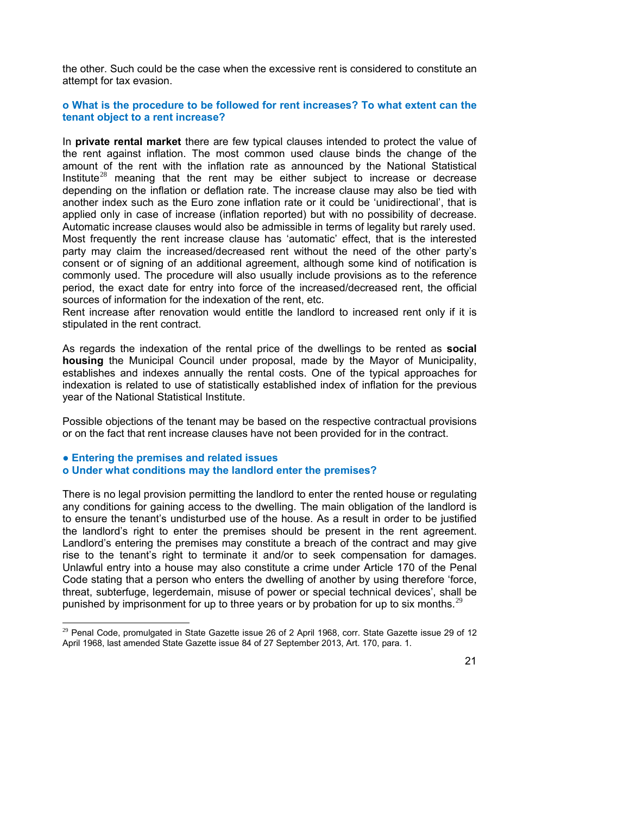the other. Such could be the case when the excessive rent is considered to constitute an attempt for tax evasion.

#### **o What is the procedure to be followed for rent increases? To what extent can the tenant object to a rent increase?**

In **private rental market** there are few typical clauses intended to protect the value of the rent against inflation. The most common used clause binds the change of the amount of the rent with the inflation rate as announced by the National Statistical Institute<sup>[28](#page-20-0)</sup> meaning that the rent may be either subject to increase or decrease depending on the inflation or deflation rate. The increase clause may also be tied with another index such as the Euro zone inflation rate or it could be 'unidirectional', that is applied only in case of increase (inflation reported) but with no possibility of decrease. Automatic increase clauses would also be admissible in terms of legality but rarely used. Most frequently the rent increase clause has 'automatic' effect, that is the interested party may claim the increased/decreased rent without the need of the other party's consent or of signing of an additional agreement, although some kind of notification is commonly used. The procedure will also usually include provisions as to the reference period, the exact date for entry into force of the increased/decreased rent, the official sources of information for the indexation of the rent, etc.

Rent increase after renovation would entitle the landlord to increased rent only if it is stipulated in the rent contract.

As regards the indexation of the rental price of the dwellings to be rented as **social housing** the Municipal Council under proposal, made by the Mayor of Municipality, establishes and indexes annually the rental costs. One of the typical approaches for indexation is related to use of statistically established index of inflation for the previous year of the National Statistical Institute.

Possible objections of the tenant may be based on the respective contractual provisions or on the fact that rent increase clauses have not been provided for in the contract.

#### **● Entering the premises and related issues**

 $\overline{a}$ 

#### **o Under what conditions may the landlord enter the premises?**

There is no legal provision permitting the landlord to enter the rented house or regulating any conditions for gaining access to the dwelling. The main obligation of the landlord is to ensure the tenant's undisturbed use of the house. As a result in order to be justified the landlord's right to enter the premises should be present in the rent agreement. Landlord's entering the premises may constitute a breach of the contract and may give rise to the tenant's right to terminate it and/or to seek compensation for damages. Unlawful entry into a house may also constitute a crime under Article 170 of the Penal Code stating that a person who enters the dwelling of another by using therefore 'force, threat, subterfuge, legerdemain, misuse of power or special technical devices', shall be punished by imprisonment for up to three years or by probation for up to six months.<sup>[29](#page-20-0)</sup>

<span id="page-20-0"></span> $29$  Penal Code, promulgated in State Gazette issue 26 of 2 April 1968, corr. State Gazette issue 29 of 12 April 1968, last amended State Gazette issue 84 of 27 September 2013, Art. 170, para. 1.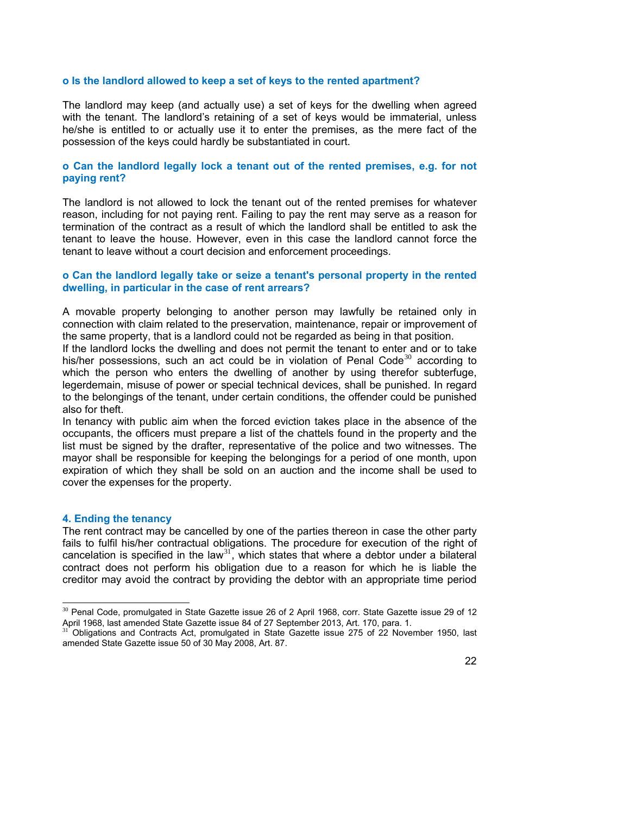#### **o Is the landlord allowed to keep a set of keys to the rented apartment?**

The landlord may keep (and actually use) a set of keys for the dwelling when agreed with the tenant. The landlord's retaining of a set of keys would be immaterial, unless he/she is entitled to or actually use it to enter the premises, as the mere fact of the possession of the keys could hardly be substantiated in court.

#### **o Can the landlord legally lock a tenant out of the rented premises, e.g. for not paying rent?**

The landlord is not allowed to lock the tenant out of the rented premises for whatever reason, including for not paying rent. Failing to pay the rent may serve as a reason for termination of the contract as a result of which the landlord shall be entitled to ask the tenant to leave the house. However, even in this case the landlord cannot force the tenant to leave without a court decision and enforcement proceedings.

#### **o Can the landlord legally take or seize a tenant's personal property in the rented dwelling, in particular in the case of rent arrears?**

A movable property belonging to another person may lawfully be retained only in connection with claim related to the preservation, maintenance, repair or improvement of the same property, that is a landlord could not be regarded as being in that position.

If the landlord locks the dwelling and does not permit the tenant to enter and or to take his/her possessions, such an act could be in violation of Penal Code $30$  according to which the person who enters the dwelling of another by using therefor subterfuge, legerdemain, misuse of power or special technical devices, shall be punished. In regard to the belongings of the tenant, under certain conditions, the offender could be punished also for theft.

In tenancy with public aim when the forced eviction takes place in the absence of the occupants, the officers must prepare a list of the chattels found in the property and the list must be signed by the drafter, representative of the police and two witnesses. The mayor shall be responsible for keeping the belongings for a period of one month, upon expiration of which they shall be sold on an auction and the income shall be used to cover the expenses for the property.

#### **4. Ending the tenancy**

l

The rent contract may be cancelled by one of the parties thereon in case the other party fails to fulfil his/her contractual obligations. The procedure for execution of the right of cancelation is specified in the law<sup>[31](#page-21-1)</sup>, which states that where a debtor under a bilateral contract does not perform his obligation due to a reason for which he is liable the creditor may avoid the contract by providing the debtor with an appropriate time period

 $30$  Penal Code, promulgated in State Gazette issue 26 of 2 April 1968, corr. State Gazette issue 29 of 12 April 1968, last amended State Gazette issue 84 of 27 September 2013, Art. 170, para. 1.

<span id="page-21-1"></span><span id="page-21-0"></span><sup>31</sup> Obligations and Contracts Act, promulgated in State Gazette issue 275 of 22 November 1950, last amended State Gazette issue 50 of 30 May 2008, Art. 87.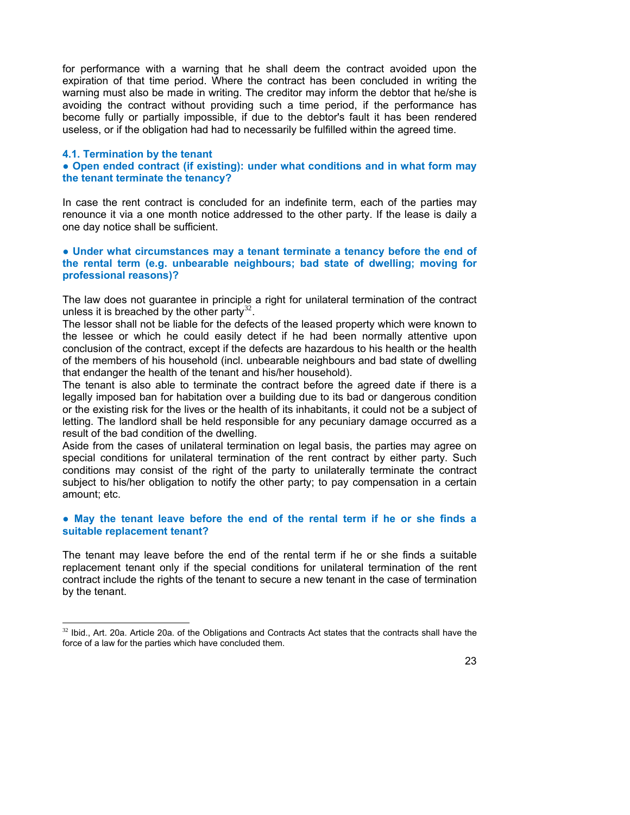for performance with a warning that he shall deem the contract avoided upon the expiration of that time period. Where the contract has been concluded in writing the warning must also be made in writing. The creditor may inform the debtor that he/she is avoiding the contract without providing such a time period, if the performance has become fully or partially impossible, if due to the debtor's fault it has been rendered useless, or if the obligation had had to necessarily be fulfilled within the agreed time.

#### **4.1. Termination by the tenant**

 $\overline{a}$ 

**● Open ended contract (if existing): under what conditions and in what form may the tenant terminate the tenancy?** 

In case the rent contract is concluded for an indefinite term, each of the parties may renounce it via a one month notice addressed to the other party. If the lease is daily a one day notice shall be sufficient.

**● Under what circumstances may a tenant terminate a tenancy before the end of the rental term (e.g. unbearable neighbours; bad state of dwelling; moving for professional reasons)?** 

The law does not guarantee in principle a right for unilateral termination of the contract unless it is breached by the other party<sup>[32](#page-22-0)</sup>.

The lessor shall not be liable for the defects of the leased property which were known to the lessee or which he could easily detect if he had been normally attentive upon conclusion of the contract, except if the defects are hazardous to his health or the health of the members of his household (incl. unbearable neighbours and bad state of dwelling that endanger the health of the tenant and his/her household).

The tenant is also able to terminate the contract before the agreed date if there is a legally imposed ban for habitation over a building due to its bad or dangerous condition or the existing risk for the lives or the health of its inhabitants, it could not be a subject of letting. The landlord shall be held responsible for any pecuniary damage occurred as a result of the bad condition of the dwelling.

Aside from the cases of unilateral termination on legal basis, the parties may agree on special conditions for unilateral termination of the rent contract by either party. Such conditions may consist of the right of the party to unilaterally terminate the contract subject to his/her obligation to notify the other party; to pay compensation in a certain amount; etc.

#### **● May the tenant leave before the end of the rental term if he or she finds a suitable replacement tenant?**

The tenant may leave before the end of the rental term if he or she finds a suitable replacement tenant only if the special conditions for unilateral termination of the rent contract include the rights of the tenant to secure a new tenant in the case of termination by the tenant.

<span id="page-22-0"></span> $32$  Ibid., Art. 20a. Article 20a. of the Obligations and Contracts Act states that the contracts shall have the force of a law for the parties which have concluded them.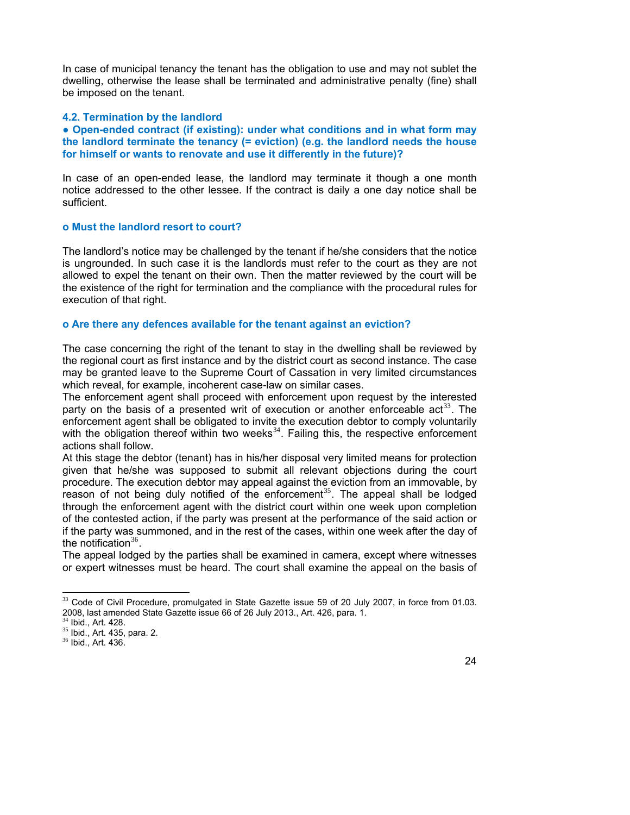In case of municipal tenancy the tenant has the obligation to use and may not sublet the dwelling, otherwise the lease shall be terminated and administrative penalty (fine) shall be imposed on the tenant.

#### **4.2. Termination by the landlord**

**● Open-ended contract (if existing): under what conditions and in what form may the landlord terminate the tenancy (= eviction) (e.g. the landlord needs the house for himself or wants to renovate and use it differently in the future)?** 

In case of an open-ended lease, the landlord may terminate it though a one month notice addressed to the other lessee. If the contract is daily a one day notice shall be sufficient.

#### **o Must the landlord resort to court?**

The landlord's notice may be challenged by the tenant if he/she considers that the notice is ungrounded. In such case it is the landlords must refer to the court as they are not allowed to expel the tenant on their own. Then the matter reviewed by the court will be the existence of the right for termination and the compliance with the procedural rules for execution of that right.

#### **o Are there any defences available for the tenant against an eviction?**

The case concerning the right of the tenant to stay in the dwelling shall be reviewed by the regional court as first instance and by the district court as second instance. The case may be granted leave to the Supreme Court of Cassation in very limited circumstances which reveal, for example, incoherent case-law on similar cases.

The enforcement agent shall proceed with enforcement upon request by the interested party on the basis of a presented writ of execution or another enforceable  $act<sup>33</sup>$  $act<sup>33</sup>$  $act<sup>33</sup>$ . The enforcement agent shall be obligated to invite the execution debtor to comply voluntarily with the obligation thereof within two weeks $34$ . Failing this, the respective enforcement actions shall follow.

At this stage the debtor (tenant) has in his/her disposal very limited means for protection given that he/she was supposed to submit all relevant objections during the court procedure. The execution debtor may appeal against the eviction from an immovable, by reason of not being duly notified of the enforcement<sup>[35](#page-23-2)</sup>. The appeal shall be lodged through the enforcement agent with the district court within one week upon completion of the contested action, if the party was present at the performance of the said action or if the party was summoned, and in the rest of the cases, within one week after the day of the notification  $36$ .

The appeal lodged by the parties shall be examined in camera, except where witnesses or expert witnesses must be heard. The court shall examine the appeal on the basis of

 $\overline{a}$ 

 $33$  Code of Civil Procedure, promulgated in State Gazette issue [59](http://pravo5.ciela.net/Dispatcher.aspx?Destination=Document&Method=OpenEdition&DocId=2135578612&Category=normi&Edition=0&lang=bg-BG) of 20 July 2007, in force from 01.03. 2008, last amended State Gazette issue 66 of 26 July 2013., Art. 426, para. 1.

<sup>34</sup> Ibid., Art. 428.

<sup>35</sup> Ibid., Art. 435, para. 2.

<span id="page-23-3"></span><span id="page-23-2"></span><span id="page-23-1"></span><span id="page-23-0"></span><sup>36</sup> Ibid., Art. 436.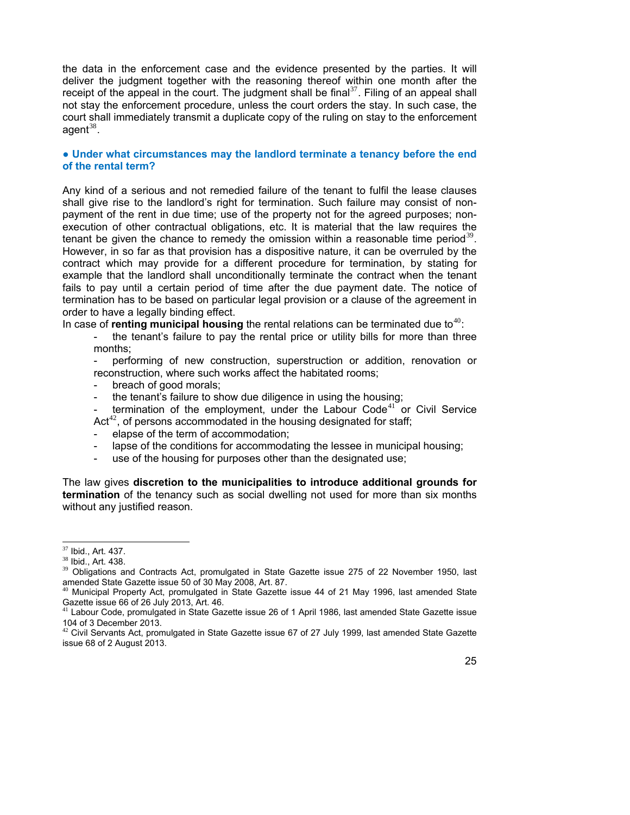the data in the enforcement case and the evidence presented by the parties. It will deliver the judgment together with the reasoning thereof within one month after the receipt of the appeal in the court. The judgment shall be final  $37$ . Filing of an appeal shall not stay the enforcement procedure, unless the court orders the stay. In such case, the court shall immediately transmit a duplicate copy of the ruling on stay to the enforcement agent $38$ .

#### **● Under what circumstances may the landlord terminate a tenancy before the end of the rental term?**

Any kind of a serious and not remedied failure of the tenant to fulfil the lease clauses shall give rise to the landlord's right for termination. Such failure may consist of nonpayment of the rent in due time; use of the property not for the agreed purposes; nonexecution of other contractual obligations, etc. It is material that the law requires the tenant be given the chance to remedy the omission within a reasonable time period<sup>[39](#page-24-2)</sup>. However, in so far as that provision has a dispositive nature, it can be overruled by the contract which may provide for a different procedure for termination, by stating for example that the landlord shall unconditionally terminate the contract when the tenant fails to pay until a certain period of time after the due payment date. The notice of termination has to be based on particular legal provision or a clause of the agreement in order to have a legally binding effect.

In case of **renting municipal housing** the rental relations can be terminated due to<sup>[40](#page-24-3)</sup>:

the tenant's failure to pay the rental price or utility bills for more than three months;

- performing of new construction, superstruction or addition, renovation or reconstruction, where such works affect the habitated rooms;

- breach of good morals;
- the tenant's failure to show due diligence in using the housing;
- termination of the employment, under the Labour Code<sup>[41](#page-24-4)</sup> or Civil Service  $Act^{42}$  $Act^{42}$  $Act^{42}$ , of persons accommodated in the housing designated for staff;
- elapse of the term of accommodation;
- lapse of the conditions for accommodating the lessee in municipal housing;
- use of the housing for purposes other than the designated use;

The law gives **discretion to the municipalities to introduce additional grounds for termination** of the tenancy such as social dwelling not used for more than six months without any justified reason.

l

 $37$  Ibid., Art. 437.

<sup>38</sup> Ibid., Art. 438.

<sup>&</sup>lt;sup>39</sup> Obligations and Contracts Act, promulgated in State Gazette issue 275 of 22 November 1950, last amended State Gazette issue 50 of 30 May 2008, Art. 87.

<sup>40</sup> Municipal Property Act, promulgated in State Gazette issue 44 of 21 May 1996, last amended State Gazette issue 66 of 26 July 2013, Art. 46.

 $41$  Labour Code, promulgated in State Gazette issue 26 of 1 April 1986, last amended State Gazette issue 104 of 3 December 2013.

<span id="page-24-5"></span><span id="page-24-4"></span><span id="page-24-3"></span><span id="page-24-2"></span><span id="page-24-1"></span><span id="page-24-0"></span> $42$  Civil Servants Act, promulgated in State Gazette issue 67 of 27 July 1999, last amended State Gazette issue 68 of 2 August 2013.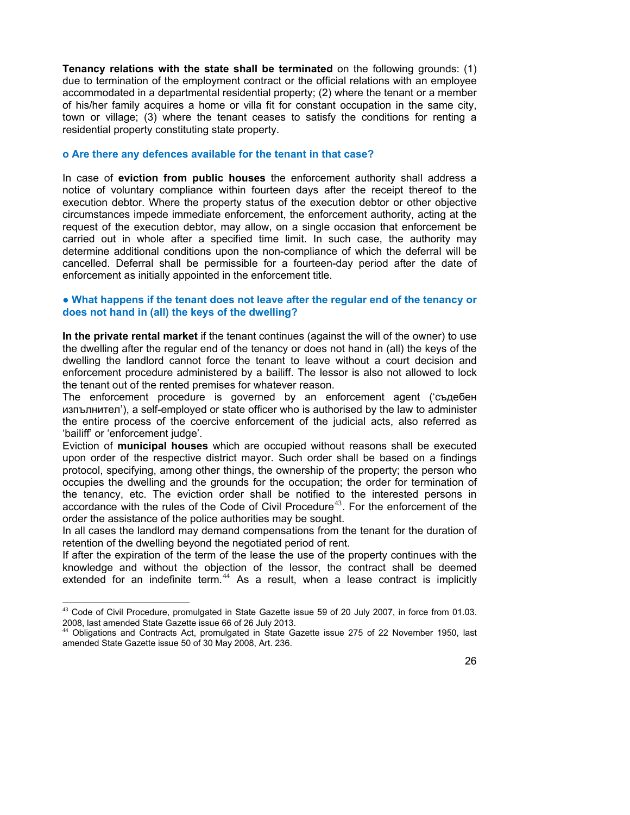**Tenancy relations with the state shall be terminated** on the following grounds: (1) due to termination of the employment contract or the official relations with an employee accommodated in a departmental residential property; (2) where the tenant or a member of his/her family acquires a home or villa fit for constant occupation in the same city, town or village; (3) where the tenant ceases to satisfy the conditions for renting a residential property constituting state property.

#### **o Are there any defences available for the tenant in that case?**

In case of **eviction from public houses** the enforcement authority shall address a notice of voluntary compliance within fourteen days after the receipt thereof to the execution debtor. Where the property status of the execution debtor or other objective circumstances impede immediate enforcement, the enforcement authority, acting at the request of the execution debtor, may allow, on a single occasion that enforcement be carried out in whole after a specified time limit. In such case, the authority may determine additional conditions upon the non-compliance of which the deferral will be cancelled. Deferral shall be permissible for a fourteen-day period after the date of enforcement as initially appointed in the enforcement title.

#### **● What happens if the tenant does not leave after the regular end of the tenancy or does not hand in (all) the keys of the dwelling?**

**In the private rental market** if the tenant continues (against the will of the owner) to use the dwelling after the regular end of the tenancy or does not hand in (all) the keys of the dwelling the landlord cannot force the tenant to leave without a court decision and enforcement procedure administered by a bailiff. The lessor is also not allowed to lock the tenant out of the rented premises for whatever reason.

The enforcement procedure is governed by an enforcement agent ('съдебен изпълнител'), a self-employed or state officer who is authorised by the law to administer the entire process of the coercive enforcement of the judicial acts, also referred as 'bailiff' or 'enforcement judge'.

Eviction of **municipal houses** which are occupied without reasons shall be executed upon order of the respective district mayor. Such order shall be based on a findings protocol, specifying, among other things, the ownership of the property; the person who occupies the dwelling and the grounds for the occupation; the order for termination of the tenancy, etc. The eviction order shall be notified to the interested persons in accordance with the rules of the Code of Civil Procedure<sup>[43](#page-25-0)</sup>. For the enforcement of the order the assistance of the police authorities may be sought.

In all cases the landlord may demand compensations from the tenant for the duration of retention of the dwelling beyond the negotiated period of rent.

If after the expiration of the term of the lease the use of the property continues with the knowledge and without the objection of the lessor, the contract shall be deemed extended for an indefinite term.<sup>[44](#page-25-1)</sup> As a result, when a lease contract is implicitly

l

 $43$  Code of Civil Procedure, promulgated in State Gazette issue [59](http://pravo5.ciela.net/Dispatcher.aspx?Destination=Document&Method=OpenEdition&DocId=2135578612&Category=normi&Edition=0&lang=bg-BG) of 20 July 2007, in force from 01.03. 2008, last amended State Gazette issue 66 of 26 July 2013.

<span id="page-25-1"></span><span id="page-25-0"></span><sup>44</sup> Obligations and Contracts Act, promulgated in State Gazette issue 275 of 22 November 1950, last amended State Gazette issue 50 of 30 May 2008, Art. 236.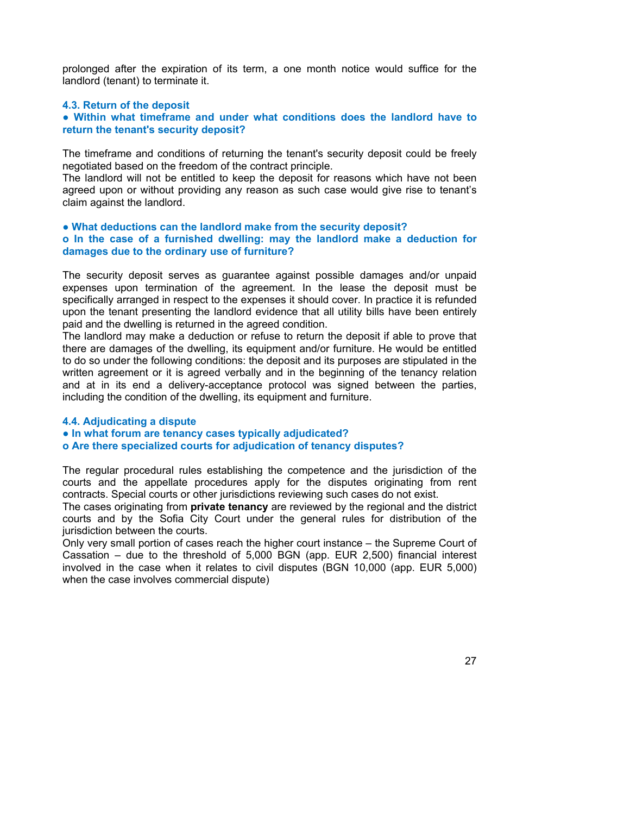prolonged after the expiration of its term, a one month notice would suffice for the landlord (tenant) to terminate it.

#### **4.3. Return of the deposit**

**● Within what timeframe and under what conditions does the landlord have to return the tenant's security deposit?** 

The timeframe and conditions of returning the tenant's security deposit could be freely negotiated based on the freedom of the contract principle.

The landlord will not be entitled to keep the deposit for reasons which have not been agreed upon or without providing any reason as such case would give rise to tenant's claim against the landlord.

#### **● What deductions can the landlord make from the security deposit? o In the case of a furnished dwelling: may the landlord make a deduction for damages due to the ordinary use of furniture?**

The security deposit serves as guarantee against possible damages and/or unpaid expenses upon termination of the agreement. In the lease the deposit must be specifically arranged in respect to the expenses it should cover. In practice it is refunded upon the tenant presenting the landlord evidence that all utility bills have been entirely paid and the dwelling is returned in the agreed condition.

The landlord may make a deduction or refuse to return the deposit if able to prove that there are damages of the dwelling, its equipment and/or furniture. He would be entitled to do so under the following conditions: the deposit and its purposes are stipulated in the written agreement or it is agreed verbally and in the beginning of the tenancy relation and at in its end a delivery-acceptance protocol was signed between the parties, including the condition of the dwelling, its equipment and furniture.

#### **4.4. Adjudicating a dispute**

**● In what forum are tenancy cases typically adjudicated?** 

#### **o Are there specialized courts for adjudication of tenancy disputes?**

The regular procedural rules establishing the competence and the jurisdiction of the courts and the appellate procedures apply for the disputes originating from rent contracts. Special courts or other jurisdictions reviewing such cases do not exist.

The cases originating from **private tenancy** are reviewed by the regional and the district courts and by the Sofia City Court under the general rules for distribution of the jurisdiction between the courts.

Only very small portion of cases reach the higher court instance – the Supreme Court of Cassation – due to the threshold of 5,000 BGN (app. EUR 2,500) financial interest involved in the case when it relates to civil disputes (BGN 10,000 (app. EUR 5,000) when the case involves commercial dispute)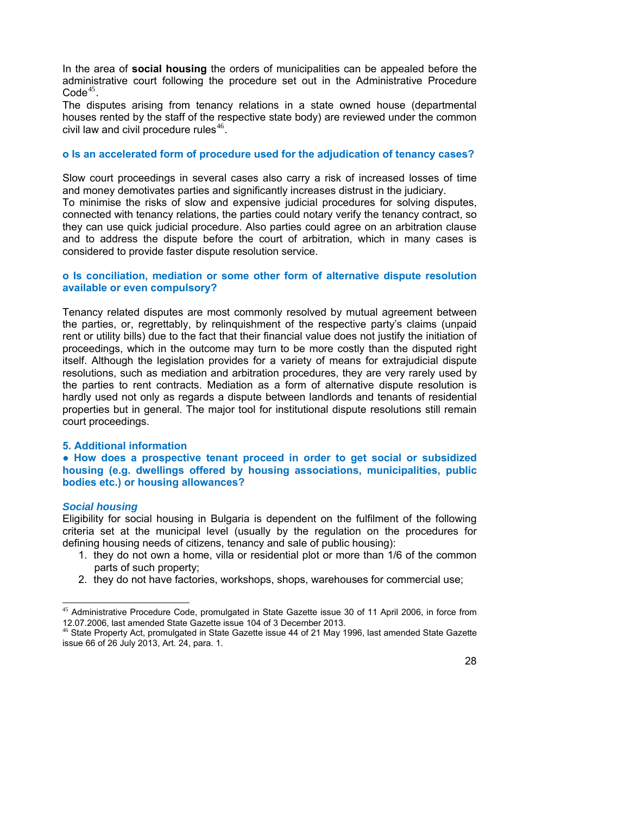In the area of **social housing** the orders of municipalities can be appealed before the administrative court following the procedure set out in the Administrative Procedure  $Code<sup>45</sup>$  $Code<sup>45</sup>$  $Code<sup>45</sup>$ .

The disputes arising from tenancy relations in a state owned house (departmental houses rented by the staff of the respective state body) are reviewed under the common civil law and civil procedure rules $46$ .

#### **o Is an accelerated form of procedure used for the adjudication of tenancy cases?**

Slow court proceedings in several cases also carry a risk of increased losses of time and money demotivates parties and significantly increases distrust in the judiciary.

To minimise the risks of slow and expensive judicial procedures for solving disputes, connected with tenancy relations, the parties could notary verify the tenancy contract, so they can use quick judicial procedure. Also parties could agree on an arbitration clause and to address the dispute before the court of arbitration, which in many cases is considered to provide faster dispute resolution service.

#### **o Is conciliation, mediation or some other form of alternative dispute resolution available or even compulsory?**

Tenancy related disputes are most commonly resolved by mutual agreement between the parties, or, regrettably, by relinquishment of the respective party's claims (unpaid rent or utility bills) due to the fact that their financial value does not justify the initiation of proceedings, which in the outcome may turn to be more costly than the disputed right itself. Although the legislation provides for a variety of means for extrajudicial dispute resolutions, such as mediation and arbitration procedures, they are very rarely used by the parties to rent contracts. Mediation as a form of alternative dispute resolution is hardly used not only as regards a dispute between landlords and tenants of residential properties but in general. The major tool for institutional dispute resolutions still remain court proceedings.

#### **5. Additional information**

**● How does a prospective tenant proceed in order to get social or subsidized housing (e.g. dwellings offered by housing associations, municipalities, public bodies etc.) or housing allowances?** 

#### *Social housing*

l

Eligibility for social housing in Bulgaria is dependent on the fulfilment of the following criteria set at the municipal level (usually by the regulation on the procedures for defining housing needs of citizens, tenancy and sale of public housing):

- 1. they do not own a home, villa or residential plot or more than 1/6 of the common parts of such property;
- 2. they do not have factories, workshops, shops, warehouses for commercial use;

<sup>&</sup>lt;sup>45</sup> Administrative Procedure Code, promulgated in State Gazette issue [30](http://pravo5.ciela.net/Dispatcher.aspx?Destination=Document&Method=OpenEdition&DocId=2135533037&Category=normi&Edition=0&lang=bg-BG) of 11 April 2006, in force from 12.07.2006, last amended State Gazette issue 104 of 3 December 2013.<br><sup>46</sup> State Property Act, promulgated in State Gazette issue 44 of 21 May 1996, last amended State Gazette

<span id="page-27-1"></span><span id="page-27-0"></span>issue 66 of 26 July 2013, Art. 24, para. 1.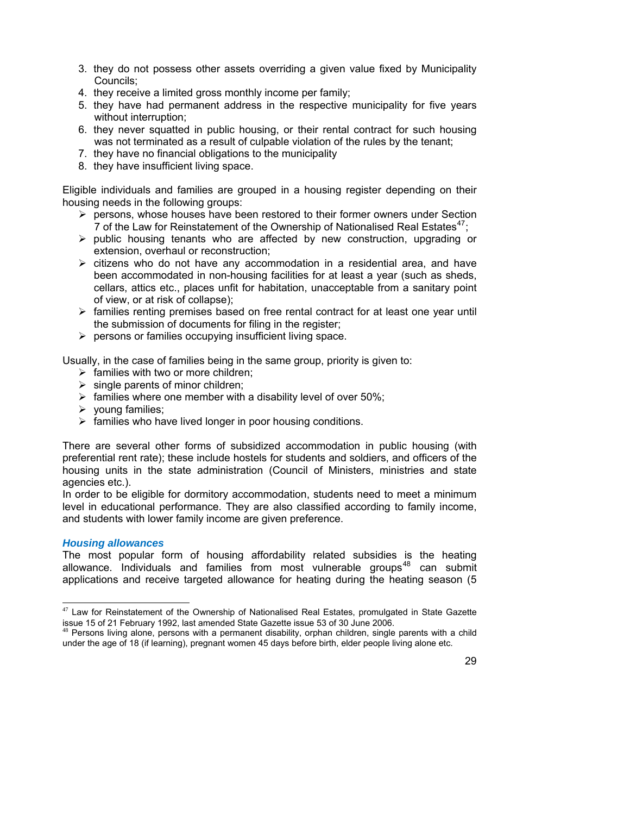- 3. they do not possess other assets overriding a given value fixed by Municipality Councils;
- 4. they receive a limited gross monthly income per family;
- 5. they have had permanent address in the respective municipality for five years without interruption;
- 6. they never squatted in public housing, or their rental contract for such housing was not terminated as a result of culpable violation of the rules by the tenant;
- 7. they have no financial obligations to the municipality
- 8. they have insufficient living space.

Eligible individuals and families are grouped in a housing register depending on their housing needs in the following groups:

- $\triangleright$  persons, whose houses have been restored to their former owners under Section 7 of the Law for Reinstatement of the Ownership of Nationalised Real Estates<sup>[47](#page-28-0)</sup>;
- $\triangleright$  public housing tenants who are affected by new construction, upgrading or extension, overhaul or reconstruction;
- $\triangleright$  citizens who do not have any accommodation in a residential area, and have been accommodated in non-housing facilities for at least a year (such as sheds, cellars, attics etc., places unfit for habitation, unacceptable from a sanitary point of view, or at risk of collapse);
- $\triangleright$  families renting premises based on free rental contract for at least one year until the submission of documents for filing in the register;
- $\triangleright$  persons or families occupying insufficient living space.

Usually, in the case of families being in the same group, priority is given to:

- $\triangleright$  families with two or more children;
- $\triangleright$  single parents of minor children;
- $\triangleright$  families where one member with a disability level of over 50%;
- $\triangleright$  voung families;
- $\triangleright$  families who have lived longer in poor housing conditions.

There are several other forms of subsidized accommodation in public housing (with preferential rent rate); these include hostels for students and soldiers, and officers of the housing units in the state administration (Council of Ministers, ministries and state agencies etc.).

In order to be eligible for dormitory accommodation, students need to meet a minimum level in educational performance. They are also classified according to family income, and students with lower family income are given preference.

#### *Housing allowances*

l

The most popular form of housing affordability related subsidies is the heating allowance. Individuals and families from most vulnerable groups<sup>[48](#page-28-1)</sup> can submit applications and receive targeted allowance for heating during the heating season (5

 $47$  Law for Reinstatement of the Ownership of Nationalised Real Estates, promulgated in State Gazette issue 15 of 21 February 1992, last amended State Gazette issue 53 of 30 June 2006.

<span id="page-28-1"></span><span id="page-28-0"></span> $48$  Persons living alone, persons with a permanent disability, orphan children, single parents with a child under the age of 18 (if learning), pregnant women 45 days before birth, elder people living alone etc.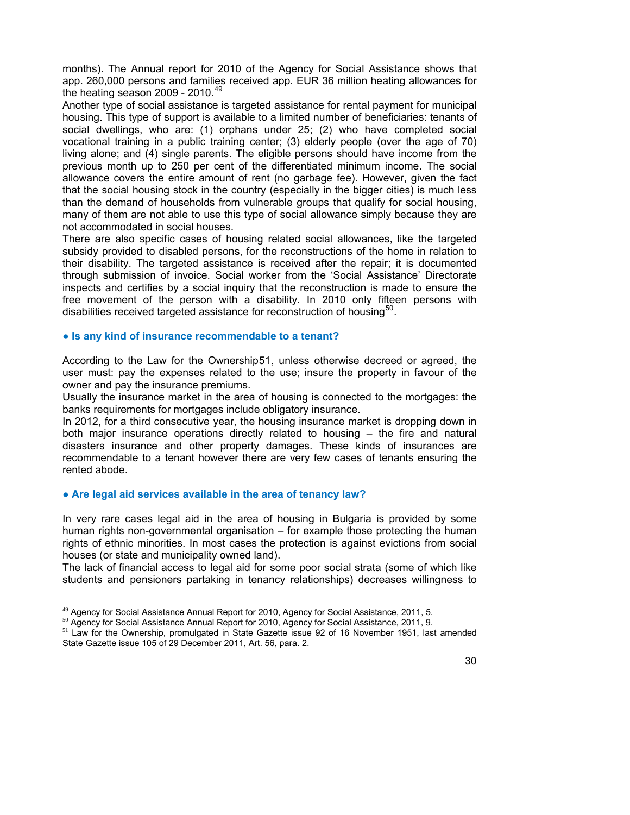months). The Annual report for 2010 of the Agency for Social Assistance shows that app. 260,000 persons and families received app. EUR 36 million heating allowances for the heating season 2009 - 2010.<sup>[49](#page-29-0)</sup>

Another type of social assistance is targeted assistance for rental payment for municipal housing. This type of support is available to a limited number of beneficiaries: tenants of social dwellings, who are: (1) orphans under 25; (2) who have completed social vocational training in a public training center; (3) elderly people (over the age of 70) living alone; and (4) single parents. The eligible persons should have income from the previous month up to 250 per cent of the differentiated minimum income. The social allowance covers the entire amount of rent (no garbage fee). However, given the fact that the social housing stock in the country (especially in the bigger cities) is much less than the demand of households from vulnerable groups that qualify for social housing, many of them are not able to use this type of social allowance simply because they are not accommodated in social houses.

There are also specific cases of housing related social allowances, like the targeted subsidy provided to disabled persons, for the reconstructions of the home in relation to their disability. The targeted assistance is received after the repair; it is documented through submission of invoice. Social worker from the 'Social Assistance' Directorate inspects and certifies by a social inquiry that the reconstruction is made to ensure the free movement of the person with a disability. In 2010 only fifteen persons with disabilities received targeted assistance for reconstruction of housing<sup>[50](#page-29-1)</sup>.

#### **● Is any kind of insurance recommendable to a tenant?**

According to the Law for the Ownership[51](#page-29-2), unless otherwise decreed or agreed, the user must: pay the expenses related to the use; insure the property in favour of the owner and pay the insurance premiums.

Usually the insurance market in the area of housing is connected to the mortgages: the banks requirements for mortgages include obligatory insurance.

In 2012, for a third consecutive year, the housing insurance market is dropping down in both major insurance operations directly related to housing – the fire and natural disasters insurance and other property damages. These kinds of insurances are recommendable to a tenant however there are very few cases of tenants ensuring the rented abode.

#### **● Are legal aid services available in the area of tenancy law?**

l

In very rare cases legal aid in the area of housing in Bulgaria is provided by some human rights non-governmental organisation – for example those protecting the human rights of ethnic minorities. In most cases the protection is against evictions from social houses (or state and municipality owned land).

The lack of financial access to legal aid for some poor social strata (some of which like students and pensioners partaking in tenancy relationships) decreases willingness to

<sup>&</sup>lt;sup>49</sup> Agency for Social Assistance Annual Report for 2010, Agency for Social Assistance, 2011, 5.

<sup>50</sup> Agency for Social Assistance Annual Report for 2010, Agency for Social Assistance, 2011, 9.

<span id="page-29-2"></span><span id="page-29-1"></span><span id="page-29-0"></span><sup>&</sup>lt;sup>51</sup> Law for the Ownership, promulgated in State Gazette issue 92 of 16 November 1951, last amended State Gazette issue 105 of 29 December 2011, Art. 56, para. 2.